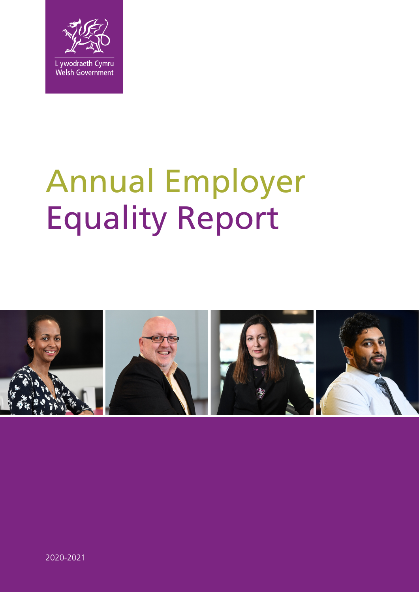

# Annual Employer Equality Report

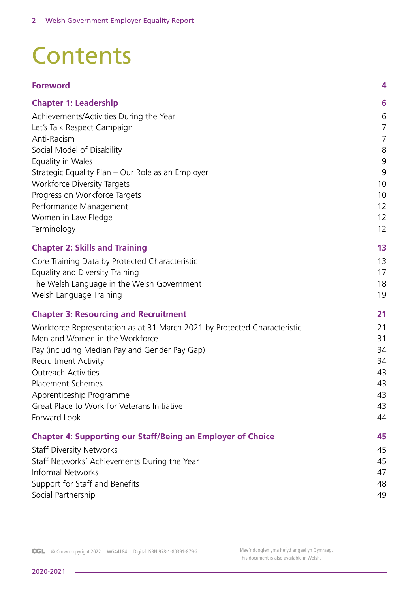# **Contents**

| <b>Foreword</b>                                                          | 4  |
|--------------------------------------------------------------------------|----|
| <b>Chapter 1: Leadership</b>                                             | 6  |
| Achievements/Activities During the Year                                  | 6  |
| Let's Talk Respect Campaign                                              | 7  |
| Anti-Racism                                                              | 7  |
| Social Model of Disability                                               | 8  |
| Equality in Wales                                                        | 9  |
| Strategic Equality Plan - Our Role as an Employer                        | 9  |
| <b>Workforce Diversity Targets</b>                                       | 10 |
| Progress on Workforce Targets                                            | 10 |
| Performance Management                                                   | 12 |
| Women in Law Pledge                                                      | 12 |
| Terminology                                                              | 12 |
| <b>Chapter 2: Skills and Training</b>                                    | 13 |
| Core Training Data by Protected Characteristic                           | 13 |
| Equality and Diversity Training                                          | 17 |
| The Welsh Language in the Welsh Government                               | 18 |
| Welsh Language Training                                                  | 19 |
| <b>Chapter 3: Resourcing and Recruitment</b>                             | 21 |
| Workforce Representation as at 31 March 2021 by Protected Characteristic | 21 |
| Men and Women in the Workforce                                           | 31 |
| Pay (including Median Pay and Gender Pay Gap)                            | 34 |
| <b>Recruitment Activity</b>                                              | 34 |
| <b>Outreach Activities</b>                                               | 43 |
| <b>Placement Schemes</b>                                                 | 43 |
| Apprenticeship Programme                                                 | 43 |
| Great Place to Work for Veterans Initiative                              | 43 |
| Forward Look                                                             | 44 |
| <b>Chapter 4: Supporting our Staff/Being an Employer of Choice</b>       | 45 |
| <b>Staff Diversity Networks</b>                                          | 45 |
| Staff Networks' Achievements During the Year                             | 45 |
| <b>Informal Networks</b>                                                 | 47 |
| Support for Staff and Benefits                                           | 48 |
| Social Partnership                                                       | 49 |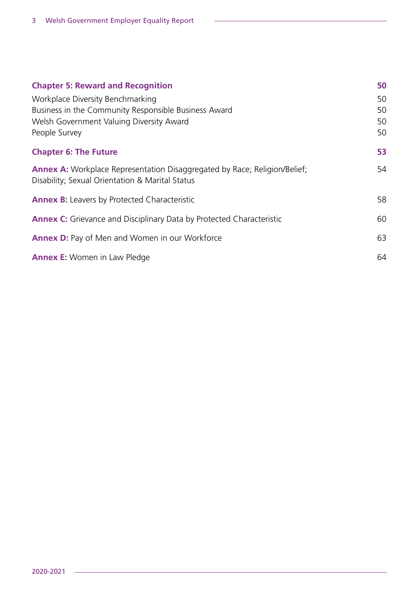| <b>Chapter 5: Reward and Recognition</b>                                                                                            | 50 |
|-------------------------------------------------------------------------------------------------------------------------------------|----|
| Workplace Diversity Benchmarking                                                                                                    | 50 |
| Business in the Community Responsible Business Award                                                                                | 50 |
| Welsh Government Valuing Diversity Award                                                                                            | 50 |
| People Survey                                                                                                                       | 50 |
| <b>Chapter 6: The Future</b>                                                                                                        | 53 |
| <b>Annex A:</b> Workplace Representation Disaggregated by Race; Religion/Belief;<br>Disability; Sexual Orientation & Marital Status | 54 |
| <b>Annex B:</b> Leavers by Protected Characteristic                                                                                 | 58 |
| <b>Annex C:</b> Grievance and Disciplinary Data by Protected Characteristic                                                         | 60 |
| <b>Annex D:</b> Pay of Men and Women in our Workforce                                                                               | 63 |
| <b>Annex E:</b> Women in Law Pledge                                                                                                 | 64 |

 $\sim$ 

 $\overline{\phantom{a}}$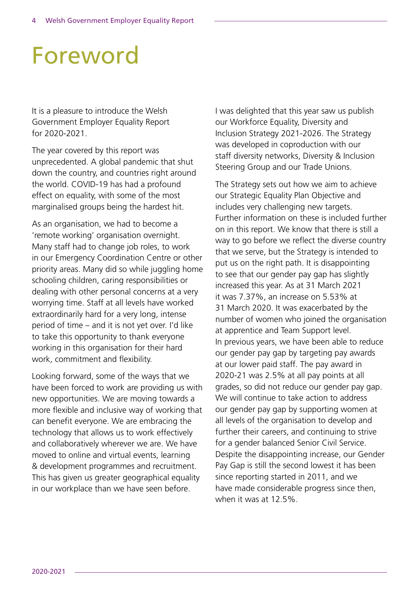# Foreword

It is a pleasure to introduce the Welsh Government Employer Equality Report for 2020-2021.

The year covered by this report was unprecedented. A global pandemic that shut down the country, and countries right around the world. COVID-19 has had a profound effect on equality, with some of the most marginalised groups being the hardest hit.

As an organisation, we had to become a 'remote working' organisation overnight. Many staff had to change job roles, to work in our Emergency Coordination Centre or other priority areas. Many did so while juggling home schooling children, caring responsibilities or dealing with other personal concerns at a very worrying time. Staff at all levels have worked extraordinarily hard for a very long, intense period of time – and it is not yet over. I'd like to take this opportunity to thank everyone working in this organisation for their hard work, commitment and flexibility.

Looking forward, some of the ways that we have been forced to work are providing us with new opportunities. We are moving towards a more flexible and inclusive way of working that can benefit everyone. We are embracing the technology that allows us to work effectively and collaboratively wherever we are. We have moved to online and virtual events, learning & development programmes and recruitment. This has given us greater geographical equality in our workplace than we have seen before.

I was delighted that this year saw us publish our Workforce Equality, Diversity and Inclusion Strategy 2021-2026. The Strategy was developed in coproduction with our staff diversity networks, Diversity & Inclusion Steering Group and our Trade Unions.

The Strategy sets out how we aim to achieve our Strategic Equality Plan Objective and includes very challenging new targets. Further information on these is included further on in this report. We know that there is still a way to go before we reflect the diverse country that we serve, but the Strategy is intended to put us on the right path. It is disappointing to see that our gender pay gap has slightly increased this year. As at 31 March 2021 it was 7.37%, an increase on 5.53% at 31 March 2020. It was exacerbated by the number of women who joined the organisation at apprentice and Team Support level. In previous years, we have been able to reduce our gender pay gap by targeting pay awards at our lower paid staff. The pay award in 2020-21 was 2.5% at all pay points at all grades, so did not reduce our gender pay gap. We will continue to take action to address our gender pay gap by supporting women at all levels of the organisation to develop and further their careers, and continuing to strive for a gender balanced Senior Civil Service. Despite the disappointing increase, our Gender Pay Gap is still the second lowest it has been since reporting started in 2011, and we have made considerable progress since then, when it was at 12.5%.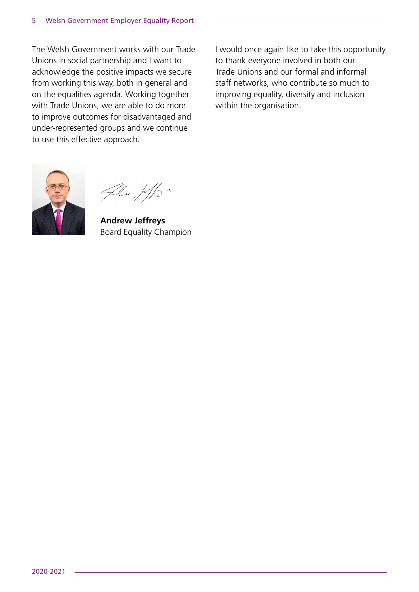The Welsh Government works with our Trade Unions in social partnership and I want to acknowledge the positive impacts we secure from working this way, both in general and on the equalities agenda. Working together with Trade Unions, we are able to do more to improve outcomes for disadvantaged and under-represented groups and we continue to use this effective approach.

I would once again like to take this opportunity to thank everyone involved in both our Trade Unions and our formal and informal staff networks, who contribute so much to improving equality, diversity and inclusion within the organisation.



File Joffs

**Andrew Jeffreys** Board Equality Champion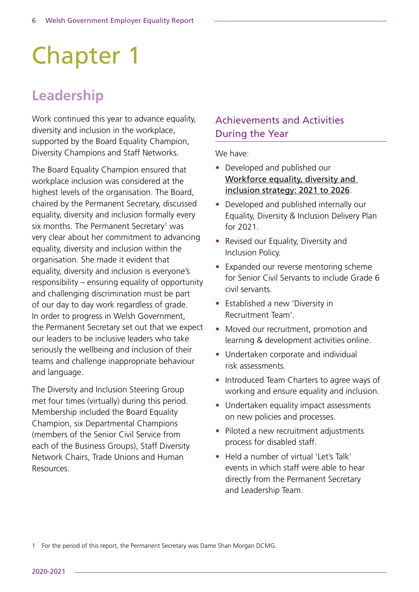# Chapter 1

# **Leadership**

Work continued this year to advance equality, diversity and inclusion in the workplace, supported by the Board Equality Champion, Diversity Champions and Staff Networks.

The Board Equality Champion ensured that workplace inclusion was considered at the highest levels of the organisation. The Board, chaired by the Permanent Secretary, discussed equality, diversity and inclusion formally every six months. The Permanent Secretary<sup>1</sup> was very clear about her commitment to advancing equality, diversity and inclusion within the organisation. She made it evident that equality, diversity and inclusion is everyone's responsibility – ensuring equality of opportunity and challenging discrimination must be part of our day to day work regardless of grade. In order to progress in Welsh Government, the Permanent Secretary set out that we expect our leaders to be inclusive leaders who take seriously the wellbeing and inclusion of their teams and challenge inappropriate behaviour and language.

The Diversity and Inclusion Steering Group met four times (virtually) during this period. Membership included the Board Equality Champion, six Departmental Champions (members of the Senior Civil Service from each of the Business Groups), Staff Diversity Network Chairs, Trade Unions and Human Resources.

# Achievements and Activities During the Year

We have:

- Developed and published our [Workforce equality, diversity and](https://gov.wales/workforce-equality-diversity-and-inclusion-strategy-2021-to-2026-html)  [inclusion strategy: 2021 to 2026](https://gov.wales/workforce-equality-diversity-and-inclusion-strategy-2021-to-2026-html).
- Developed and published internally our Equality, Diversity & Inclusion Delivery Plan for 2021.
- Revised our Equality, Diversity and Inclusion Policy.
- Expanded our reverse mentoring scheme for Senior Civil Servants to include Grade 6 civil servants.
- Established a new 'Diversity in Recruitment Team'.
- Moved our recruitment, promotion and learning & development activities online.
- Undertaken corporate and individual risk assessments.
- Introduced Team Charters to agree ways of working and ensure equality and inclusion.
- Undertaken equality impact assessments on new policies and processes.
- Piloted a new recruitment adjustments process for disabled staff.
- Held a number of virtual 'Let's Talk' events in which staff were able to hear directly from the Permanent Secretary and Leadership Team.

1 For the period of this report, the Permanent Secretary was Dame Shan Morgan DCMG.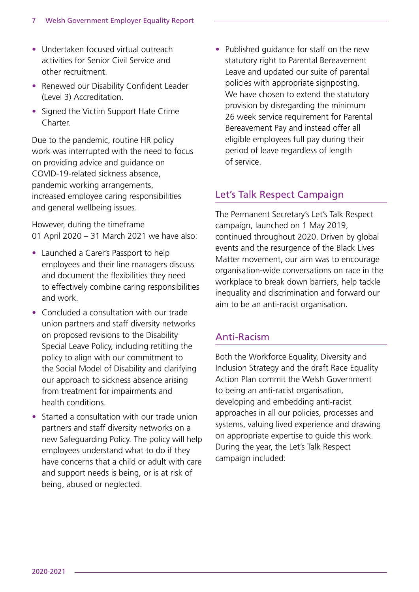- Undertaken focused virtual outreach activities for Senior Civil Service and other recruitment.
- Renewed our Disability Confident Leader (Level 3) Accreditation.
- Signed the Victim Support Hate Crime Charter

Due to the pandemic, routine HR policy work was interrupted with the need to focus on providing advice and guidance on COVID-19-related sickness absence, pandemic working arrangements, increased employee caring responsibilities and general wellbeing issues.

However, during the timeframe 01 April 2020 – 31 March 2021 we have also:

- Launched a Carer's Passport to help employees and their line managers discuss and document the flexibilities they need to effectively combine caring responsibilities and work.
- Concluded a consultation with our trade union partners and staff diversity networks on proposed revisions to the Disability Special Leave Policy, including retitling the policy to align with our commitment to the Social Model of Disability and clarifying our approach to sickness absence arising from treatment for impairments and health conditions.
- Started a consultation with our trade union partners and staff diversity networks on a new Safeguarding Policy. The policy will help employees understand what to do if they have concerns that a child or adult with care and support needs is being, or is at risk of being, abused or neglected.

• Published guidance for staff on the new statutory right to Parental Bereavement Leave and updated our suite of parental policies with appropriate signposting. We have chosen to extend the statutory provision by disregarding the minimum 26 week service requirement for Parental Bereavement Pay and instead offer all eligible employees full pay during their period of leave regardless of length of service.

### Let's Talk Respect Campaign

The Permanent Secretary's Let's Talk Respect campaign, launched on 1 May 2019, continued throughout 2020. Driven by global events and the resurgence of the Black Lives Matter movement, our aim was to encourage organisation-wide conversations on race in the workplace to break down barriers, help tackle inequality and discrimination and forward our aim to be an anti-racist organisation.

#### Anti-Racism

Both the Workforce Equality, Diversity and Inclusion Strategy and the draft Race Equality Action Plan commit the Welsh Government to being an anti-racist organisation, developing and embedding anti-racist approaches in all our policies, processes and systems, valuing lived experience and drawing on appropriate expertise to guide this work. During the year, the Let's Talk Respect campaign included: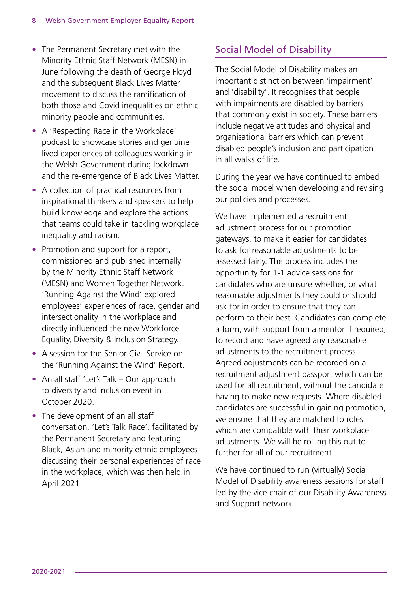- The Permanent Secretary met with the Minority Ethnic Staff Network (MESN) in June following the death of George Floyd and the subsequent Black Lives Matter movement to discuss the ramification of both those and Covid inequalities on ethnic minority people and communities.
- A 'Respecting Race in the Workplace' podcast to showcase stories and genuine lived experiences of colleagues working in the Welsh Government during lockdown and the re-emergence of Black Lives Matter.
- A collection of practical resources from inspirational thinkers and speakers to help build knowledge and explore the actions that teams could take in tackling workplace inequality and racism.
- Promotion and support for a report, commissioned and published internally by the Minority Ethnic Staff Network (MESN) and Women Together Network. 'Running Against the Wind' explored employees' experiences of race, gender and intersectionality in the workplace and directly influenced the new Workforce Equality, Diversity & Inclusion Strategy.
- A session for the Senior Civil Service on the 'Running Against the Wind' Report.
- An all staff 'Let's Talk Our approach to diversity and inclusion event in October 2020.
- The development of an all staff conversation, 'Let's Talk Race', facilitated by the Permanent Secretary and featuring Black, Asian and minority ethnic employees discussing their personal experiences of race in the workplace, which was then held in April 2021.

# Social Model of Disability

The Social Model of Disability makes an important distinction between 'impairment' and 'disability'. It recognises that people with impairments are disabled by barriers that commonly exist in society. These barriers include negative attitudes and physical and organisational barriers which can prevent disabled people's inclusion and participation in all walks of life.

During the year we have continued to embed the social model when developing and revising our policies and processes.

We have implemented a recruitment adjustment process for our promotion gateways, to make it easier for candidates to ask for reasonable adjustments to be assessed fairly. The process includes the opportunity for 1-1 advice sessions for candidates who are unsure whether, or what reasonable adjustments they could or should ask for in order to ensure that they can perform to their best. Candidates can complete a form, with support from a mentor if required, to record and have agreed any reasonable adjustments to the recruitment process. Agreed adjustments can be recorded on a recruitment adjustment passport which can be used for all recruitment, without the candidate having to make new requests. Where disabled candidates are successful in gaining promotion, we ensure that they are matched to roles which are compatible with their workplace adjustments. We will be rolling this out to further for all of our recruitment.

We have continued to run (virtually) Social Model of Disability awareness sessions for staff led by the vice chair of our Disability Awareness and Support network.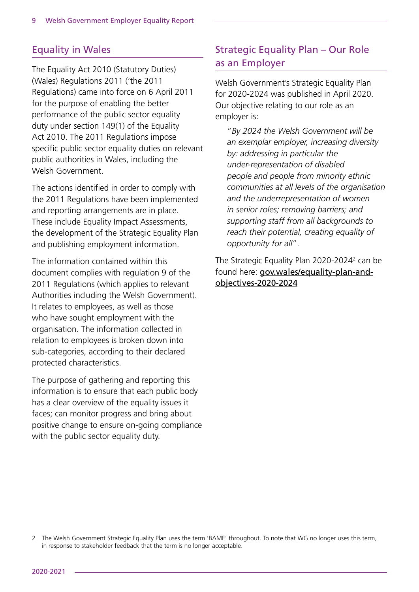### Equality in Wales

The Equality Act 2010 (Statutory Duties) (Wales) Regulations 2011 ('the 2011 Regulations) came into force on 6 April 2011 for the purpose of enabling the better performance of the public sector equality duty under section 149(1) of the Equality Act 2010. The 2011 Regulations impose specific public sector equality duties on relevant public authorities in Wales, including the Welsh Government.

The actions identified in order to comply with the 2011 Regulations have been implemented and reporting arrangements are in place. These include Equality Impact Assessments, the development of the Strategic Equality Plan and publishing employment information.

The information contained within this document complies with regulation 9 of the 2011 Regulations (which applies to relevant Authorities including the Welsh Government). It relates to employees, as well as those who have sought employment with the organisation. The information collected in relation to employees is broken down into sub-categories, according to their declared protected characteristics.

The purpose of gathering and reporting this information is to ensure that each public body has a clear overview of the equality issues it faces; can monitor progress and bring about positive change to ensure on-going compliance with the public sector equality duty.

# Strategic Equality Plan – Our Role as an Employer

Welsh Government's Strategic Equality Plan for 2020-2024 was published in April 2020. Our objective relating to our role as an employer is:

 "*By 2024 the Welsh Government will be an exemplar employer, increasing diversity by: addressing in particular the under-representation of disabled people and people from minority ethnic communities at all levels of the organisation and the underrepresentation of women in senior roles; removing barriers; and supporting staff from all backgrounds to reach their potential, creating equality of opportunity for all*".

The Strategic Equality Plan 2020-2024<sup>2</sup> can be found here: [gov.wales/equality-plan-and](https://gov.wales/equality-plan-and-objectives-2020-2024)[objectives-2020-2024](https://gov.wales/equality-plan-and-objectives-2020-2024)

<sup>2</sup> The Welsh Government Strategic Equality Plan uses the term 'BAME' throughout. To note that WG no longer uses this term, in response to stakeholder feedback that the term is no longer acceptable.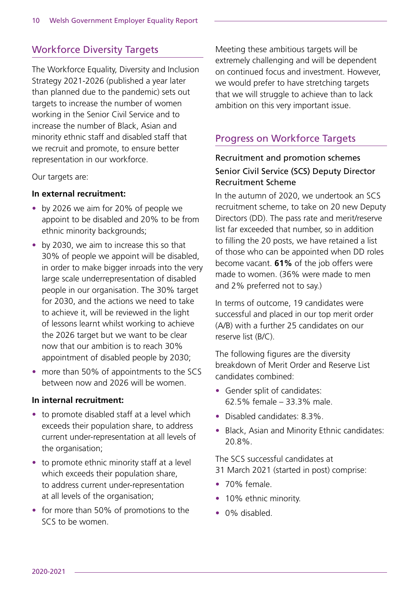# Workforce Diversity Targets

The Workforce Equality, Diversity and Inclusion Strategy 2021-2026 (published a year later than planned due to the pandemic) sets out targets to increase the number of women working in the Senior Civil Service and to increase the number of Black, Asian and minority ethnic staff and disabled staff that we recruit and promote, to ensure better representation in our workforce.

Our targets are:

#### **In external recruitment:**

- by 2026 we aim for 20% of people we appoint to be disabled and 20% to be from ethnic minority backgrounds;
- by 2030, we aim to increase this so that 30% of people we appoint will be disabled, in order to make bigger inroads into the very large scale underrepresentation of disabled people in our organisation. The 30% target for 2030, and the actions we need to take to achieve it, will be reviewed in the light of lessons learnt whilst working to achieve the 2026 target but we want to be clear now that our ambition is to reach 30% appointment of disabled people by 2030;
- more than 50% of appointments to the SCS between now and 2026 will be women.

#### **In internal recruitment:**

- to promote disabled staff at a level which exceeds their population share, to address current under-representation at all levels of the organisation;
- to promote ethnic minority staff at a level which exceeds their population share, to address current under-representation at all levels of the organisation;
- for more than 50% of promotions to the SCS to be women.

Meeting these ambitious targets will be extremely challenging and will be dependent on continued focus and investment. However, we would prefer to have stretching targets that we will struggle to achieve than to lack ambition on this very important issue.

## Progress on Workforce Targets

### Recruitment and promotion schemes Senior Civil Service (SCS) Deputy Director Recruitment Scheme

In the autumn of 2020, we undertook an SCS recruitment scheme, to take on 20 new Deputy Directors (DD). The pass rate and merit/reserve list far exceeded that number, so in addition to filling the 20 posts, we have retained a list of those who can be appointed when DD roles become vacant. **61%** of the job offers were made to women. (36% were made to men and 2% preferred not to say.)

In terms of outcome, 19 candidates were successful and placed in our top merit order (A/B) with a further 25 candidates on our reserve list (B/C).

The following figures are the diversity breakdown of Merit Order and Reserve List candidates combined:

- Gender split of candidates: 62.5% female – 33.3% male.
- Disabled candidates: 8.3%.
- Black, Asian and Minority Ethnic candidates: 20.8%.

The SCS successful candidates at 31 March 2021 (started in post) comprise:

- 70% female.
- 10% ethnic minority.
- 0% disabled.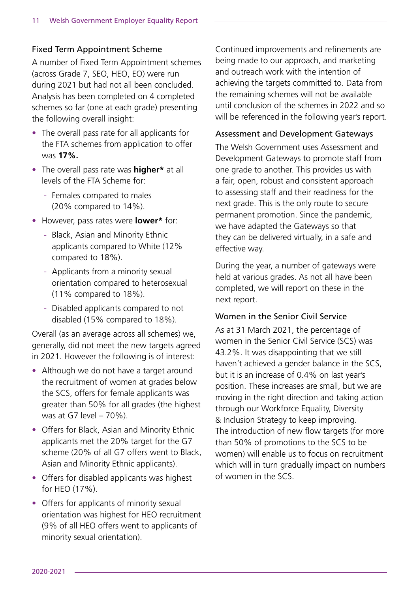#### Fixed Term Appointment Scheme

A number of Fixed Term Appointment schemes (across Grade 7, SEO, HEO, EO) were run during 2021 but had not all been concluded. Analysis has been completed on 4 completed schemes so far (one at each grade) presenting the following overall insight:

- The overall pass rate for all applicants for the FTA schemes from application to offer was **17%.**
- The overall pass rate was **higher\*** at all levels of the FTA Scheme for:
	- Females compared to males (20% compared to 14%).
- However, pass rates were **lower\*** for:
	- Black, Asian and Minority Ethnic applicants compared to White (12% compared to 18%).
	- Applicants from a minority sexual orientation compared to heterosexual (11% compared to 18%).
	- Disabled applicants compared to not disabled (15% compared to 18%).

Overall (as an average across all schemes) we, generally, did not meet the new targets agreed in 2021. However the following is of interest:

- Although we do not have a target around the recruitment of women at grades below the SCS, offers for female applicants was greater than 50% for all grades (the highest was at G7 level – 70%).
- Offers for Black, Asian and Minority Ethnic applicants met the 20% target for the G7 scheme (20% of all G7 offers went to Black, Asian and Minority Ethnic applicants).
- Offers for disabled applicants was highest for HEO (17%).
- Offers for applicants of minority sexual orientation was highest for HEO recruitment (9% of all HEO offers went to applicants of minority sexual orientation).

Continued improvements and refinements are being made to our approach, and marketing and outreach work with the intention of achieving the targets committed to. Data from the remaining schemes will not be available until conclusion of the schemes in 2022 and so will be referenced in the following year's report.

#### Assessment and Development Gateways

The Welsh Government uses Assessment and Development Gateways to promote staff from one grade to another. This provides us with a fair, open, robust and consistent approach to assessing staff and their readiness for the next grade. This is the only route to secure permanent promotion. Since the pandemic, we have adapted the Gateways so that they can be delivered virtually, in a safe and effective way.

During the year, a number of gateways were held at various grades. As not all have been completed, we will report on these in the next report.

#### Women in the Senior Civil Service

As at 31 March 2021, the percentage of women in the Senior Civil Service (SCS) was 43.2%. It was disappointing that we still haven't achieved a gender balance in the SCS, but it is an increase of 0.4% on last year's position. These increases are small, but we are moving in the right direction and taking action through our Workforce Equality, Diversity & Inclusion Strategy to keep improving. The introduction of new flow targets (for more than 50% of promotions to the SCS to be women) will enable us to focus on recruitment which will in turn gradually impact on numbers of women in the SCS.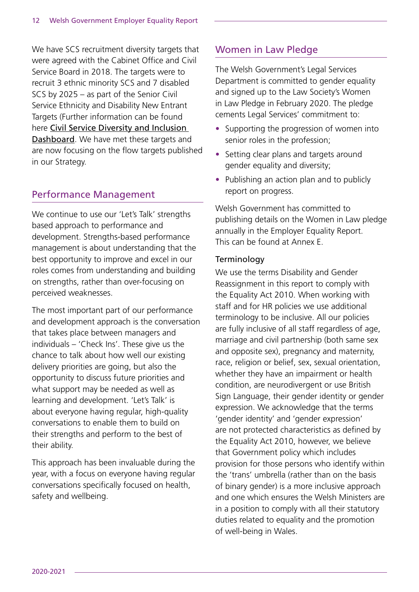We have SCS recruitment diversity targets that were agreed with the Cabinet Office and Civil Service Board in 2018. The targets were to recruit 3 ethnic minority SCS and 7 disabled SCS by 2025 – as part of the Senior Civil Service Ethnicity and Disability New Entrant Targets (Further information can be found here [Civil Service Diversity and Inclusion](https://www.gov.uk/government/publications/civil-service-diversity-inclusion-dashboard/civil-service-diversity-and-inclusion-dashboard)  [Dashboard](https://www.gov.uk/government/publications/civil-service-diversity-inclusion-dashboard/civil-service-diversity-and-inclusion-dashboard). We have met these targets and are now focusing on the flow targets published in our Strategy.

### Performance Management

We continue to use our 'Let's Talk' strengths based approach to performance and development. Strengths-based performance management is about understanding that the best opportunity to improve and excel in our roles comes from understanding and building on strengths, rather than over-focusing on perceived weaknesses.

The most important part of our performance and development approach is the conversation that takes place between managers and individuals – 'Check Ins'. These give us the chance to talk about how well our existing delivery priorities are going, but also the opportunity to discuss future priorities and what support may be needed as well as learning and development. 'Let's Talk' is about everyone having regular, high-quality conversations to enable them to build on their strengths and perform to the best of their ability.

This approach has been invaluable during the year, with a focus on everyone having regular conversations specifically focused on health, safety and wellbeing.

# Women in Law Pledge

The Welsh Government's Legal Services Department is committed to gender equality and signed up to the Law Society's Women in Law Pledge in February 2020. The pledge cements Legal Services' commitment to:

- Supporting the progression of women into senior roles in the profession;
- Setting clear plans and targets around gender equality and diversity;
- Publishing an action plan and to publicly report on progress.

Welsh Government has committed to publishing details on the Women in Law pledge annually in the Employer Equality Report. This can be found at Annex E.

#### **Terminology**

We use the terms Disability and Gender Reassignment in this report to comply with the Equality Act 2010. When working with staff and for HR policies we use additional terminology to be inclusive. All our policies are fully inclusive of all staff regardless of age, marriage and civil partnership (both same sex and opposite sex), pregnancy and maternity, race, religion or belief, sex, sexual orientation, whether they have an impairment or health condition, are neurodivergent or use British Sign Language, their gender identity or gender expression. We acknowledge that the terms 'gender identity' and 'gender expression' are not protected characteristics as defined by the Equality Act 2010, however, we believe that Government policy which includes provision for those persons who identify within the 'trans' umbrella (rather than on the basis of binary gender) is a more inclusive approach and one which ensures the Welsh Ministers are in a position to comply with all their statutory duties related to equality and the promotion of well-being in Wales.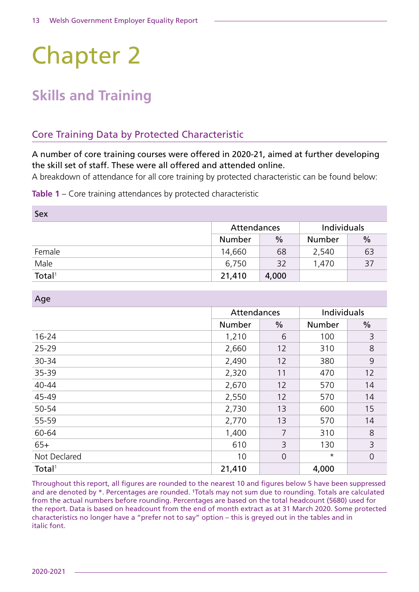# Chapter 2

# **Skills and Training**

# Core Training Data by Protected Characteristic

A number of core training courses were offered in 2020-21, aimed at further developing the skill set of staff. These were all offered and attended online.

A breakdown of attendance for all core training by protected characteristic can be found below:

**Table 1** – Core training attendances by protected characteristic

| Sex                |               |       |             |               |
|--------------------|---------------|-------|-------------|---------------|
|                    | Attendances   |       | Individuals |               |
|                    | <b>Number</b> | $\%$  | Number      | $\frac{0}{0}$ |
| Female             | 14,660        | 68    | 2,540       | 63            |
| Male               | 6,750         | 32    | 1,470       | 37            |
| Total <sup>1</sup> | 21,410        | 4,000 |             |               |

Age

|                    | Attendances   |                | Individuals   |                |
|--------------------|---------------|----------------|---------------|----------------|
|                    | <b>Number</b> | $\frac{0}{0}$  | <b>Number</b> | $\frac{0}{0}$  |
| $16 - 24$          | 1,210         | 6              | 100           | 3              |
| 25-29              | 2,660         | 12             | 310           | 8              |
| 30-34              | 2,490         | 12             | 380           | 9              |
| 35-39              | 2,320         | 11             | 470           | 12             |
| 40-44              | 2,670         | 12             | 570           | 14             |
| 45-49              | 2,550         | 12             | 570           | 14             |
| 50-54              | 2,730         | 13             | 600           | 15             |
| 55-59              | 2,770         | 13             | 570           | 14             |
| 60-64              | 1,400         | 7              | 310           | 8              |
| $65+$              | 610           | 3              | 130           | 3              |
| Not Declared       | 10            | $\overline{0}$ | $\star$       | $\overline{0}$ |
| Total <sup>1</sup> | 21,410        |                | 4,000         |                |

Throughout this report, all figures are rounded to the nearest 10 and figures below 5 have been suppressed and are denoted by \*. Percentages are rounded. 'Totals may not sum due to rounding. Totals are calculated from the actual numbers before rounding. Percentages are based on the total headcount (5680) used for the report. Data is based on headcount from the end of month extract as at 31 March 2020. Some protected characteristics no longer have a "prefer not to say" option – this is greyed out in the tables and in italic font.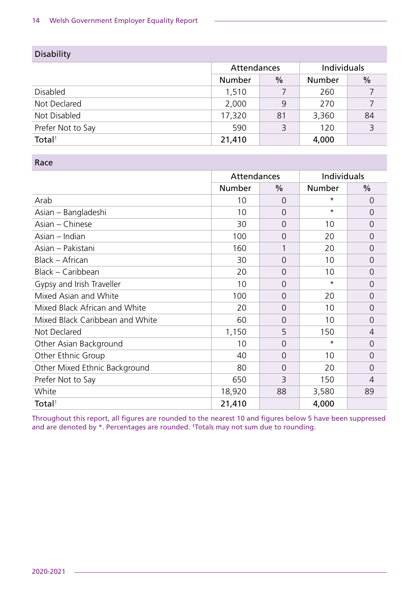| <b>Disability</b>  |               |               |               |               |
|--------------------|---------------|---------------|---------------|---------------|
|                    | Attendances   |               | Individuals   |               |
|                    | <b>Number</b> | $\frac{0}{0}$ | <b>Number</b> | $\frac{0}{0}$ |
| <b>Disabled</b>    | 1,510         |               | 260           |               |
| Not Declared       | 2,000         | 9             | 270           | 7             |
| Not Disabled       | 17,320        | 81            | 3,360         | 84            |
| Prefer Not to Say  | 590           | 3             | 120           | 3             |
| Total <sup>1</sup> | 21,410        |               | 4,000         |               |

#### Race

|                                 | Attendances   |                | Individuals |                |
|---------------------------------|---------------|----------------|-------------|----------------|
|                                 | <b>Number</b> | $\frac{0}{0}$  | Number      | $\%$           |
| Arab                            | 10            | 0              | $^\star$    | 0              |
| Asian – Bangladeshi             | 10            | $\Omega$       | $\star$     | $\Omega$       |
| Asian - Chinese                 | 30            | $\Omega$       | 10          | $\overline{0}$ |
| Asian - Indian                  | 100           | 0              | 20          | $\Omega$       |
| Asian - Pakistani               | 160           | 1              | 20          | $\Omega$       |
| Black – African                 | 30            | $\overline{0}$ | 10          | $\overline{0}$ |
| Black - Caribbean               | 20            | 0              | 10          | $\Omega$       |
| Gypsy and Irish Traveller       | 10            | 0              | $\star$     | $\Omega$       |
| Mixed Asian and White           | 100           | $\Omega$       | 20          | $\overline{0}$ |
| Mixed Black African and White   | 20            | $\Omega$       | 10          | $\Omega$       |
| Mixed Black Caribbean and White | 60            | $\Omega$       | 10          | $\Omega$       |
| Not Declared                    | 1,150         | 5              | 150         | $\overline{4}$ |
| Other Asian Background          | 10            | 0              | $\star$     | $\Omega$       |
| Other Ethnic Group              | 40            | 0              | 10          | $\Omega$       |
| Other Mixed Ethnic Background   | 80            | $\Omega$       | 20          | $\Omega$       |
| Prefer Not to Say               | 650           | 3              | 150         | $\overline{4}$ |
| White                           | 18,920        | 88             | 3,580       | 89             |
| Total <sup>1</sup>              | 21,410        |                | 4,000       |                |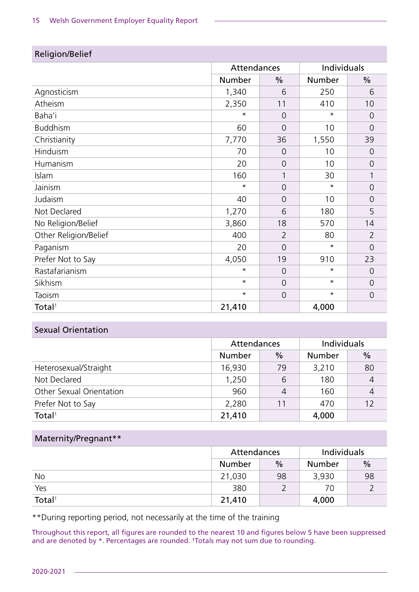| <b>Religion/Bellet</b> |             |                |             |                |
|------------------------|-------------|----------------|-------------|----------------|
|                        | Attendances |                | Individuals |                |
|                        | Number      | $\frac{0}{0}$  | Number      | $\frac{0}{0}$  |
| Agnosticism            | 1,340       | 6              | 250         | 6              |
| Atheism                | 2,350       | 11             | 410         | 10             |
| Baha'i                 | $\star$     | $\overline{O}$ | $\star$     | $\overline{0}$ |
| <b>Buddhism</b>        | 60          | $\Omega$       | 10          | $\overline{0}$ |
| Christianity           | 7,770       | 36             | 1,550       | 39             |
| Hinduism               | 70          | $\overline{0}$ | 10          | $\overline{0}$ |
| Humanism               | 20          | $\overline{0}$ | 10          | $\overline{0}$ |
| Islam                  | 160         | 1              | 30          |                |
| Jainism                | $^\star$    | $\overline{0}$ | $^\star$    | $\overline{0}$ |
| Judaism                | 40          | $\overline{0}$ | 10          | $\overline{0}$ |
| Not Declared           | 1,270       | 6              | 180         | 5              |
| No Religion/Belief     | 3,860       | 18             | 570         | 14             |
| Other Religion/Belief  | 400         | $\overline{2}$ | 80          | $\overline{2}$ |
| Paganism               | 20          | $\overline{0}$ | $^\star$    | $\overline{0}$ |
| Prefer Not to Say      | 4,050       | 19             | 910         | 23             |
| Rastafarianism         | $\star$     | $\overline{0}$ | $^\star$    | $\overline{0}$ |
| Sikhism                | $\star$     | $\overline{0}$ | $\star$     | $\overline{0}$ |
| Taoism                 | $\star$     | $\overline{O}$ | $\star$     | $\overline{0}$ |
| Total <sup>1</sup>     | 21,410      |                | 4,000       |                |

### Religion/Belief

#### Sexual Orientation

|                          | Attendances   |                | Individuals |               |
|--------------------------|---------------|----------------|-------------|---------------|
|                          | <b>Number</b> | $\frac{0}{0}$  | Number      | $\frac{0}{0}$ |
| Heterosexual/Straight    | 16,930        | 79             | 3,210       | 80            |
| Not Declared             | 1,250         | 6              | 180         |               |
| Other Sexual Orientation | 960           | $\overline{A}$ | 160         | 4             |
| Prefer Not to Say        | 2,280         | 11             | 470         |               |
| Total <sup>1</sup>       | 21,410        |                | 4,000       |               |

#### Maternity/Pregnant\*\*

|                    | Attendances   |               | Individuals   |               |
|--------------------|---------------|---------------|---------------|---------------|
|                    | <b>Number</b> | $\frac{0}{0}$ | <b>Number</b> | $\frac{0}{0}$ |
| <b>No</b>          | 21,030        | 98            | 3,930         | 98            |
| Yes                | 380           |               | 70            |               |
| Total <sup>1</sup> | 21,410        |               | 4,000         |               |

\*\*During reporting period, not necessarily at the time of the training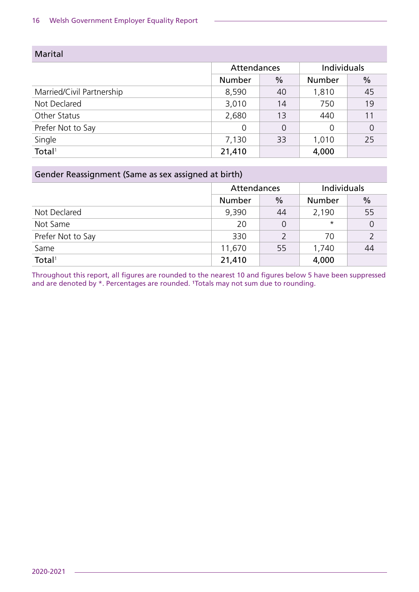| <b>Marital</b>            |               |                |             |                |
|---------------------------|---------------|----------------|-------------|----------------|
|                           | Attendances   |                | Individuals |                |
|                           | <b>Number</b> | $\frac{0}{0}$  | Number      | $\frac{0}{0}$  |
| Married/Civil Partnership | 8,590         | 40             | 1,810       | 45             |
| Not Declared              | 3,010         | 14             | 750         | 19             |
| Other Status              | 2,680         | 13             | 440         | 11             |
| Prefer Not to Say         | 0             | $\overline{0}$ | 0           | $\overline{0}$ |
| Single                    | 7,130         | 33             | 1,010       | 25             |
| Total <sup>1</sup>        | 21,410        |                | 4,000       |                |

#### Gender Reassignment (Same as sex assigned at birth)

|                    | Attendances   |               | <b>Individuals</b> |               |
|--------------------|---------------|---------------|--------------------|---------------|
|                    | <b>Number</b> | $\frac{0}{0}$ | <b>Number</b>      | $\frac{0}{0}$ |
| Not Declared       | 9,390         | 44            | 2,190              | 55            |
| Not Same           | 20            | 0             | $\star$            | 0             |
| Prefer Not to Say  | 330           |               | 70                 |               |
| Same               | 11,670        | 55            | 1,740              | 44            |
| Total <sup>1</sup> | 21,410        |               | 4,000              |               |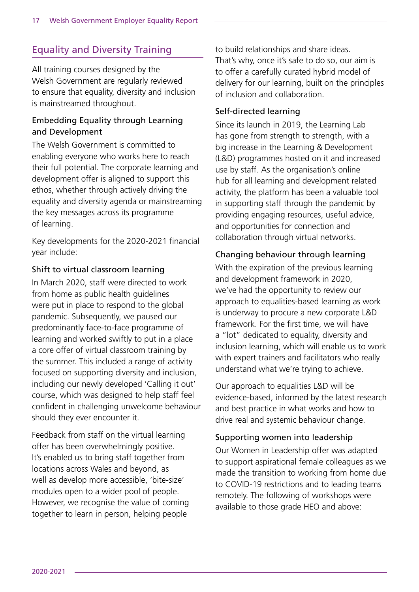# Equality and Diversity Training

All training courses designed by the Welsh Government are regularly reviewed to ensure that equality, diversity and inclusion is mainstreamed throughout.

#### Embedding Equality through Learning and Development

The Welsh Government is committed to enabling everyone who works here to reach their full potential. The corporate learning and development offer is aligned to support this ethos, whether through actively driving the equality and diversity agenda or mainstreaming the key messages across its programme of learning.

Key developments for the 2020-2021 financial year include:

#### Shift to virtual classroom learning

In March 2020, staff were directed to work from home as public health guidelines were put in place to respond to the global pandemic. Subsequently, we paused our predominantly face-to-face programme of learning and worked swiftly to put in a place a core offer of virtual classroom training by the summer. This included a range of activity focused on supporting diversity and inclusion, including our newly developed 'Calling it out' course, which was designed to help staff feel confident in challenging unwelcome behaviour should they ever encounter it.

Feedback from staff on the virtual learning offer has been overwhelmingly positive. It's enabled us to bring staff together from locations across Wales and beyond, as well as develop more accessible, 'bite-size' modules open to a wider pool of people. However, we recognise the value of coming together to learn in person, helping people

to build relationships and share ideas. That's why, once it's safe to do so, our aim is to offer a carefully curated hybrid model of delivery for our learning, built on the principles of inclusion and collaboration.

#### Self-directed learning

Since its launch in 2019, the Learning Lab has gone from strength to strength, with a big increase in the Learning & Development (L&D) programmes hosted on it and increased use by staff. As the organisation's online hub for all learning and development related activity, the platform has been a valuable tool in supporting staff through the pandemic by providing engaging resources, useful advice, and opportunities for connection and collaboration through virtual networks.

#### Changing behaviour through learning

With the expiration of the previous learning and development framework in 2020, we've had the opportunity to review our approach to equalities-based learning as work is underway to procure a new corporate L&D framework. For the first time, we will have a "lot" dedicated to equality, diversity and inclusion learning, which will enable us to work with expert trainers and facilitators who really understand what we're trying to achieve.

Our approach to equalities L&D will be evidence-based, informed by the latest research and best practice in what works and how to drive real and systemic behaviour change.

#### Supporting women into leadership

Our Women in Leadership offer was adapted to support aspirational female colleagues as we made the transition to working from home due to COVID-19 restrictions and to leading teams remotely. The following of workshops were available to those grade HEO and above: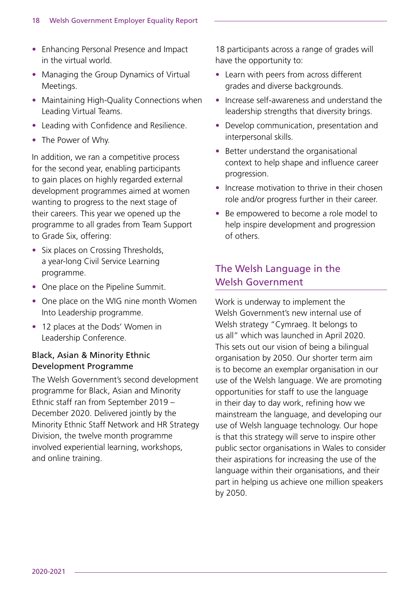- Enhancing Personal Presence and Impact in the virtual world.
- Managing the Group Dynamics of Virtual Meetings.
- Maintaining High-Quality Connections when Leading Virtual Teams.
- Leading with Confidence and Resilience.
- The Power of Why.

In addition, we ran a competitive process for the second year, enabling participants to gain places on highly regarded external development programmes aimed at women wanting to progress to the next stage of their careers. This year we opened up the programme to all grades from Team Support to Grade Six, offering:

- Six places on Crossing Thresholds, a year-long Civil Service Learning programme.
- One place on the Pipeline Summit.
- One place on the WIG nine month Women Into Leadership programme.
- 12 places at the Dods' Women in Leadership Conference.

#### Black, Asian & Minority Ethnic Development Programme

The Welsh Government's second development programme for Black, Asian and Minority Ethnic staff ran from September 2019 – December 2020. Delivered jointly by the Minority Ethnic Staff Network and HR Strategy Division, the twelve month programme involved experiential learning, workshops, and online training.

18 participants across a range of grades will have the opportunity to:

- Learn with peers from across different grades and diverse backgrounds.
- Increase self-awareness and understand the leadership strengths that diversity brings.
- Develop communication, presentation and interpersonal skills.
- Better understand the organisational context to help shape and influence career progression.
- Increase motivation to thrive in their chosen role and/or progress further in their career.
- Be empowered to become a role model to help inspire development and progression of others.

# The Welsh Language in the Welsh Government

Work is underway to implement the Welsh Government's new internal use of Welsh strategy "Cymraeg. It belongs to us all" which was launched in April 2020. This sets out our vision of being a bilingual organisation by 2050. Our shorter term aim is to become an exemplar organisation in our use of the Welsh language. We are promoting opportunities for staff to use the language in their day to day work, refining how we mainstream the language, and developing our use of Welsh language technology. Our hope is that this strategy will serve to inspire other public sector organisations in Wales to consider their aspirations for increasing the use of the language within their organisations, and their part in helping us achieve one million speakers by 2050.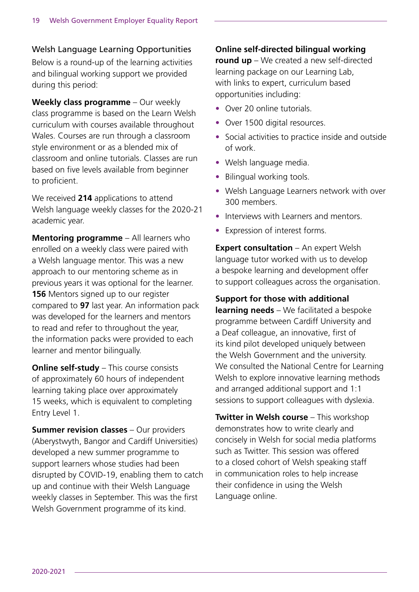Welsh Language Learning Opportunities

Below is a round-up of the learning activities and bilingual working support we provided during this period:

**Weekly class programme** – Our weekly class programme is based on the Learn Welsh curriculum with courses available throughout Wales. Courses are run through a classroom style environment or as a blended mix of classroom and online tutorials. Classes are run based on five levels available from beginner to proficient.

We received **214** applications to attend Welsh language weekly classes for the 2020-21 academic year.

**Mentoring programme** – All learners who enrolled on a weekly class were paired with a Welsh language mentor. This was a new approach to our mentoring scheme as in previous years it was optional for the learner. **156** Mentors signed up to our register compared to **97** last year. An information pack was developed for the learners and mentors to read and refer to throughout the year, the information packs were provided to each learner and mentor bilingually.

**Online self-study** – This course consists of approximately 60 hours of independent learning taking place over approximately 15 weeks, which is equivalent to completing Entry Level 1.

**Summer revision classes** – Our providers (Aberystwyth, Bangor and Cardiff Universities) developed a new summer programme to support learners whose studies had been disrupted by COVID-19, enabling them to catch up and continue with their Welsh Language weekly classes in September. This was the first Welsh Government programme of its kind.

#### **Online self-directed bilingual working**

**round up** – We created a new self-directed learning package on our Learning Lab, with links to expert, curriculum based opportunities including:

- Over 20 online tutorials.
- Over 1500 digital resources.
- Social activities to practice inside and outside of work.
- Welsh language media.
- Bilingual working tools.
- Welsh Language Learners network with over 300 members.
- Interviews with Learners and mentors.
- Expression of interest forms.

**Expert consultation** – An expert Welsh language tutor worked with us to develop a bespoke learning and development offer to support colleagues across the organisation.

#### **Support for those with additional**

**learning needs** – We facilitated a bespoke programme between Cardiff University and a Deaf colleague, an innovative, first of its kind pilot developed uniquely between the Welsh Government and the university. We consulted the National Centre for Learning Welsh to explore innovative learning methods and arranged additional support and 1:1 sessions to support colleagues with dyslexia.

**Twitter in Welsh course** – This workshop demonstrates how to write clearly and concisely in Welsh for social media platforms such as Twitter. This session was offered to a closed cohort of Welsh speaking staff in communication roles to help increase their confidence in using the Welsh Language online.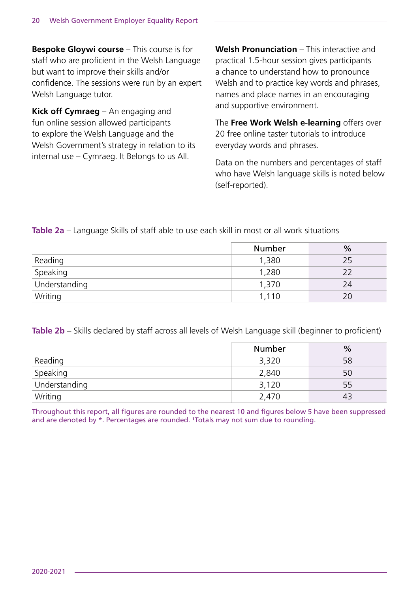**Bespoke Gloywi course** – This course is for staff who are proficient in the Welsh Language but want to improve their skills and/or confidence. The sessions were run by an expert Welsh Language tutor.

**Kick off Cymraeg** – An engaging and fun online session allowed participants to explore the Welsh Language and the Welsh Government's strategy in relation to its internal use – Cymraeg. It Belongs to us All.

**Welsh Pronunciation** – This interactive and practical 1.5-hour session gives participants a chance to understand how to pronounce Welsh and to practice key words and phrases, names and place names in an encouraging and supportive environment.

The **Free Work Welsh e-learning** offers over 20 free online taster tutorials to introduce everyday words and phrases.

Data on the numbers and percentages of staff who have Welsh language skills is noted below (self-reported).

**Table 2a** – Language Skills of staff able to use each skill in most or all work situations

|                                    | Number | $\frac{0}{0}$ |
|------------------------------------|--------|---------------|
| Reading                            | 1,380  | 25            |
| Speaking                           | 1,280  |               |
| $\frac{1}{\sqrt{1}}$ Understanding | 1,370  | 24            |
| Writing                            | 1,110  | 20            |

**Table 2b** – Skills declared by staff across all levels of Welsh Language skill (beginner to proficient)

|               | <b>Number</b> | $\frac{0}{0}$ |
|---------------|---------------|---------------|
| Reading       | 3,320         | 58            |
| Speaking      | 2,840         | 50            |
| Understanding | 3,120         | 55            |
| Writing       | 2,470         | 43            |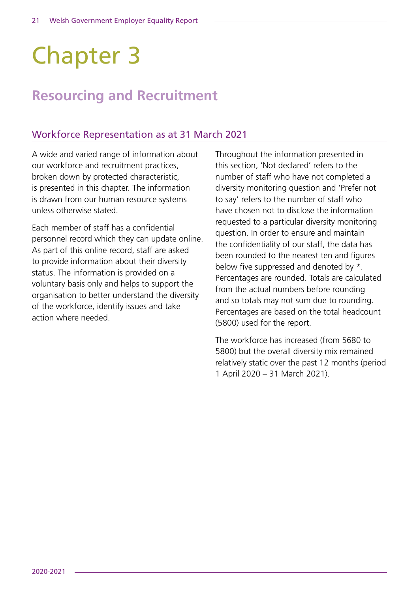# Chapter 3

# **Resourcing and Recruitment**

### Workforce Representation as at 31 March 2021

A wide and varied range of information about our workforce and recruitment practices, broken down by protected characteristic, is presented in this chapter. The information is drawn from our human resource systems unless otherwise stated.

Each member of staff has a confidential personnel record which they can update online. As part of this online record, staff are asked to provide information about their diversity status. The information is provided on a voluntary basis only and helps to support the organisation to better understand the diversity of the workforce, identify issues and take action where needed.

Throughout the information presented in this section, 'Not declared' refers to the number of staff who have not completed a diversity monitoring question and 'Prefer not to say' refers to the number of staff who have chosen not to disclose the information requested to a particular diversity monitoring question. In order to ensure and maintain the confidentiality of our staff, the data has been rounded to the nearest ten and figures below five suppressed and denoted by \*. Percentages are rounded. Totals are calculated from the actual numbers before rounding and so totals may not sum due to rounding. Percentages are based on the total headcount (5800) used for the report.

The workforce has increased (from 5680 to 5800) but the overall diversity mix remained relatively static over the past 12 months (period 1 April 2020 – 31 March 2021).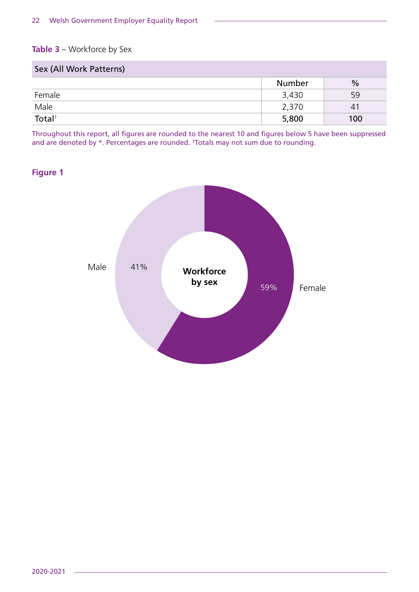#### **Table 3** – Workforce by Sex

| Sex (All Work Patterns) |        |               |
|-------------------------|--------|---------------|
|                         | Number | $\frac{0}{0}$ |
| Female                  | 3,430  | 59            |
| Male                    | 2,370  | 41            |
| Total <sup>1</sup>      | 5,800  | 100           |

Throughout this report, all figures are rounded to the nearest 10 and figures below 5 have been suppressed and are denoted by \*. Percentages are rounded. 'Totals may not sum due to rounding.

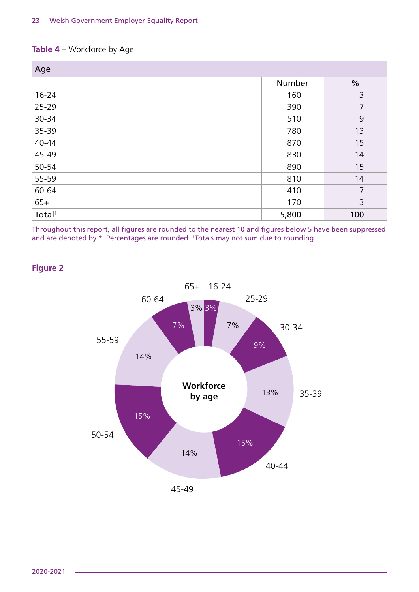#### **Table 4** – Workforce by Age

| Age                |        |               |
|--------------------|--------|---------------|
|                    | Number | $\frac{0}{0}$ |
| $16 - 24$          | 160    | 3             |
| 25-29              | 390    | 7             |
| 30-34              | 510    | 9             |
| 35-39              | 780    | 13            |
| 40-44              | 870    | 15            |
| 45-49              | 830    | 14            |
| 50-54              | 890    | 15            |
| 55-59              | 810    | 14            |
| 60-64              | 410    | 7             |
| $65+$              | 170    | 3             |
| Total <sup>1</sup> | 5,800  | 100           |

Throughout this report, all figures are rounded to the nearest 10 and figures below 5 have been suppressed and are denoted by \*. Percentages are rounded. 'Totals may not sum due to rounding.

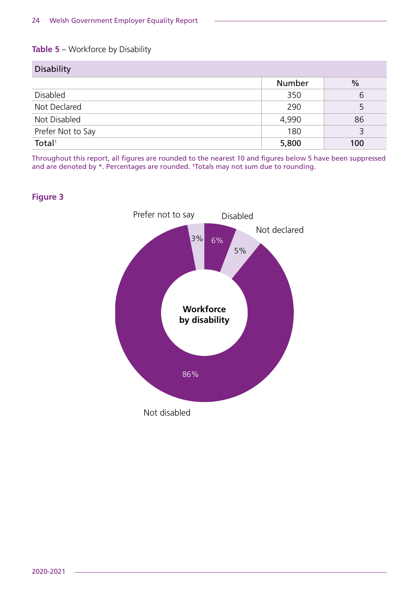#### **Table 5** – Workforce by Disability

| <b>Disability</b>  |        |               |
|--------------------|--------|---------------|
|                    | Number | $\frac{0}{0}$ |
| Disabled           | 350    | 6             |
| Not Declared       | 290    |               |
| Not Disabled       | 4,990  | 86            |
| Prefer Not to Say  | 180    |               |
| Total <sup>1</sup> | 5,800  | 100           |

Throughout this report, all figures are rounded to the nearest 10 and figures below 5 have been suppressed and are denoted by \*. Percentages are rounded. 'Totals may not sum due to rounding.

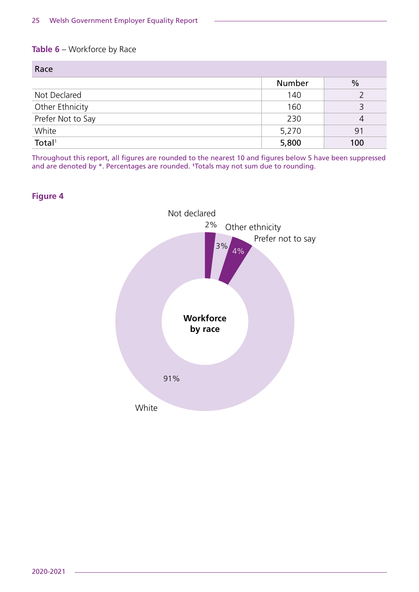#### **Table 6** – Workforce by Race

| Race               |        |               |
|--------------------|--------|---------------|
|                    | Number | $\frac{0}{0}$ |
| Not Declared       | 140    |               |
| Other Ethnicity    | 160    |               |
| Prefer Not to Say  | 230    | 4             |
| White              | 5,270  | 91            |
| Total <sup>1</sup> | 5,800  | 100           |



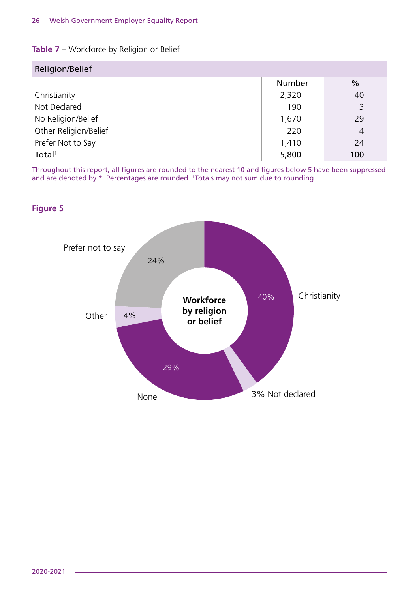#### **Table 7** – Workforce by Religion or Belief

| Religion/Belief       |               |               |
|-----------------------|---------------|---------------|
|                       | <b>Number</b> | $\frac{0}{0}$ |
| Christianity          | 2,320         | 40            |
| Not Declared          | 190           | 3             |
| No Religion/Belief    | 1,670         | 29            |
| Other Religion/Belief | 220           | 4             |
| Prefer Not to Say     | 1,410         | 24            |
| Total <sup>1</sup>    | 5,800         | 100           |

Throughout this report, all figures are rounded to the nearest 10 and figures below 5 have been suppressed and are denoted by \*. Percentages are rounded. <sup>1</sup>Totals may not sum due to rounding.

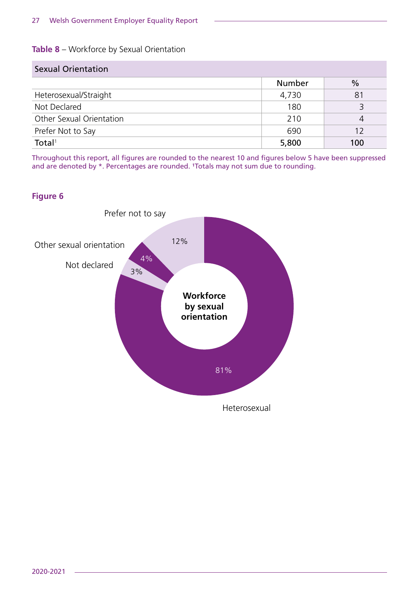#### **Table 8** – Workforce by Sexual Orientation

| <b>Sexual Orientation</b> |               |               |
|---------------------------|---------------|---------------|
|                           | <b>Number</b> | $\frac{0}{0}$ |
| Heterosexual/Straight     | 4,730         | 81            |
| Not Declared              | 180           | 3             |
| Other Sexual Orientation  | 210           | 4             |
| Prefer Not to Say         | 690           | 12            |
| Total <sup>1</sup>        | 5,800         | 100           |

Throughout this report, all figures are rounded to the nearest 10 and figures below 5 have been suppressed and are denoted by \*. Percentages are rounded. 'Totals may not sum due to rounding.

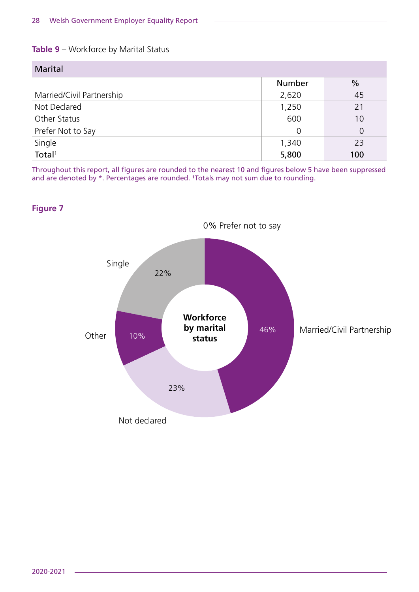#### **Table 9** – Workforce by Marital Status

| <b>Marital</b>            |        |               |
|---------------------------|--------|---------------|
|                           | Number | $\frac{0}{0}$ |
| Married/Civil Partnership | 2,620  | 45            |
| Not Declared              | 1,250  | 21            |
| Other Status              | 600    | 10            |
| Prefer Not to Say         | 0      | 0             |
| Single                    | 1,340  | 23            |
| Total <sup>1</sup>        | 5,800  | 100           |

Throughout this report, all figures are rounded to the nearest 10 and figures below 5 have been suppressed and are denoted by \*. Percentages are rounded. <sup>1</sup>Totals may not sum due to rounding.

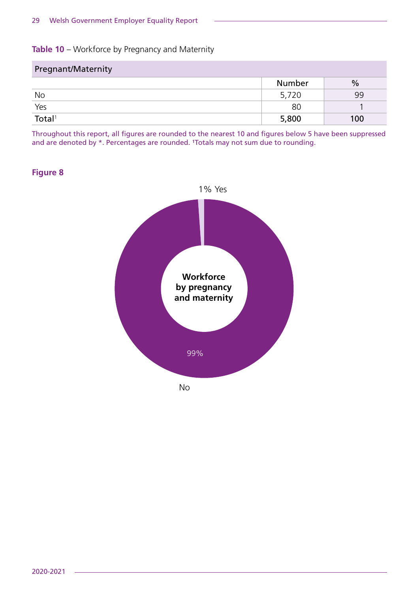#### **Table 10** – Workforce by Pregnancy and Maternity

| Pregnant/Maternity |        |               |
|--------------------|--------|---------------|
|                    | Number | $\frac{0}{0}$ |
| No                 | 5,720  | 99            |
| Yes                | 80     |               |
| Total <sup>1</sup> | 5,800  | 100           |

Throughout this report, all figures are rounded to the nearest 10 and figures below 5 have been suppressed and are denoted by \*. Percentages are rounded. 'Totals may not sum due to rounding.

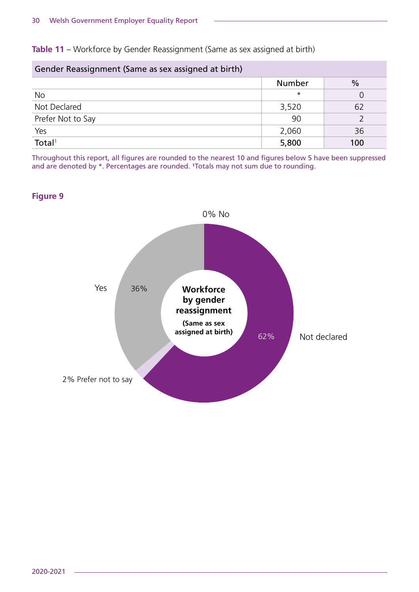**Table 11** – Workforce by Gender Reassignment (Same as sex assigned at birth)

| Gender Reassignment (Same as sex assigned at birth) |               |               |
|-----------------------------------------------------|---------------|---------------|
|                                                     | <b>Number</b> | $\frac{0}{0}$ |
| <b>No</b>                                           | $\star$       |               |
| Not Declared                                        | 3,520         | 62            |
| Prefer Not to Say                                   | 90            |               |
| Yes                                                 | 2,060         | 36            |
| $\overline{\text{Total}^1}$                         | 5,800         | 100           |

Throughout this report, all figures are rounded to the nearest 10 and figures below 5 have been suppressed and are denoted by \*. Percentages are rounded. 'Totals may not sum due to rounding.

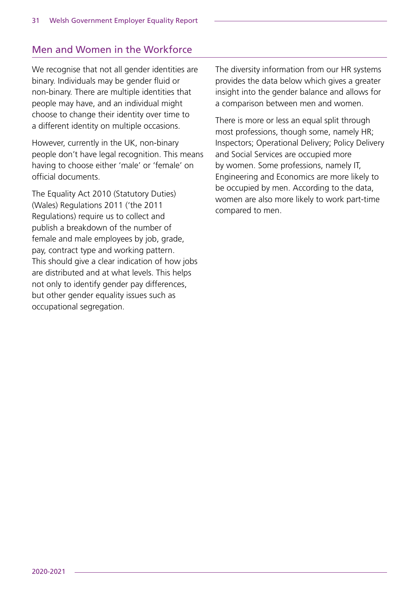# Men and Women in the Workforce

We recognise that not all gender identities are binary. Individuals may be gender fluid or non-binary. There are multiple identities that people may have, and an individual might choose to change their identity over time to a different identity on multiple occasions.

However, currently in the UK, non-binary people don't have legal recognition. This means having to choose either 'male' or 'female' on official documents.

The Equality Act 2010 (Statutory Duties) (Wales) Regulations 2011 ('the 2011 Regulations) require us to collect and publish a breakdown of the number of female and male employees by job, grade, pay, contract type and working pattern. This should give a clear indication of how jobs are distributed and at what levels. This helps not only to identify gender pay differences, but other gender equality issues such as occupational segregation.

The diversity information from our HR systems provides the data below which gives a greater insight into the gender balance and allows for a comparison between men and women.

There is more or less an equal split through most professions, though some, namely HR; Inspectors; Operational Delivery; Policy Delivery and Social Services are occupied more by women. Some professions, namely IT, Engineering and Economics are more likely to be occupied by men. According to the data, women are also more likely to work part-time compared to men.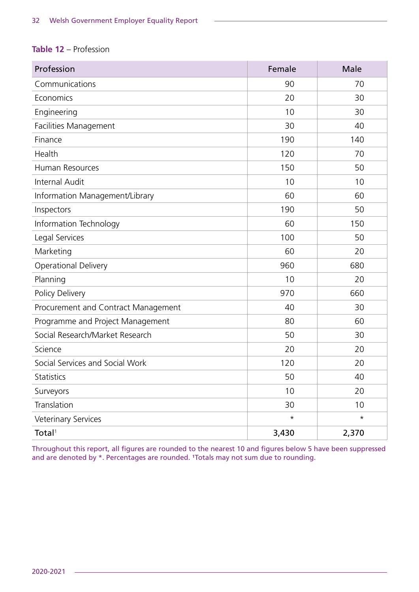#### **Table 12** – Profession

| Profession                          | Female  | Male     |
|-------------------------------------|---------|----------|
| Communications                      | 90      | 70       |
| Economics                           | 20      | 30       |
| Engineering                         | 10      | 30       |
| Facilities Management               | 30      | 40       |
| Finance                             | 190     | 140      |
| Health                              | 120     | 70       |
| Human Resources                     | 150     | 50       |
| <b>Internal Audit</b>               | 10      | 10       |
| Information Management/Library      | 60      | 60       |
| Inspectors                          | 190     | 50       |
| Information Technology              | 60      | 150      |
| Legal Services                      | 100     | 50       |
| Marketing                           | 60      | 20       |
| <b>Operational Delivery</b>         | 960     | 680      |
| Planning                            | 10      | 20       |
| Policy Delivery                     | 970     | 660      |
| Procurement and Contract Management | 40      | 30       |
| Programme and Project Management    | 80      | 60       |
| Social Research/Market Research     | 50      | 30       |
| Science                             | 20      | 20       |
| Social Services and Social Work     | 120     | 20       |
| Statistics                          | 50      | 40       |
| Surveyors                           | 10      | 20       |
| Translation                         | 30      | 10       |
| <b>Veterinary Services</b>          | $\star$ | $^\star$ |
| Total <sup>1</sup>                  | 3,430   | 2,370    |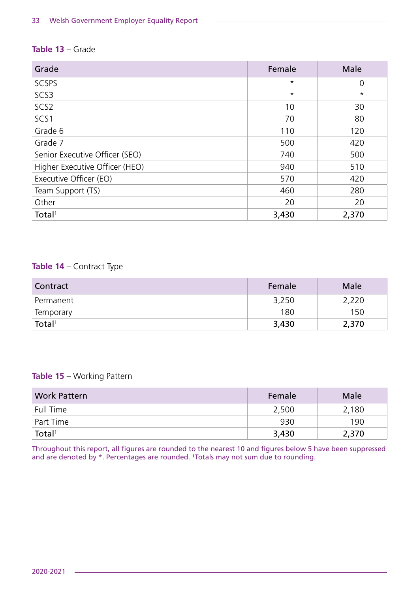#### **Table 13** – Grade

| Grade                          | Female  | Male    |
|--------------------------------|---------|---------|
| <b>SCSPS</b>                   | $\star$ | 0       |
| SCS3                           | $\star$ | $\star$ |
| SCS <sub>2</sub>               | 10      | 30      |
| SCS1                           | 70      | 80      |
| Grade 6                        | 110     | 120     |
| Grade 7                        | 500     | 420     |
| Senior Executive Officer (SEO) | 740     | 500     |
| Higher Executive Officer (HEO) | 940     | 510     |
| Executive Officer (EO)         | 570     | 420     |
| Team Support (TS)              | 460     | 280     |
| Other                          | 20      | 20      |
| Total <sup>1</sup>             | 3,430   | 2,370   |

#### **Table 14** – Contract Type

| Contract           | Female | Male  |
|--------------------|--------|-------|
| Permanent          | 3,250  | 2,220 |
| <b>Temporary</b>   | 180    | 150   |
| Total <sup>1</sup> | 3,430  | 2,370 |

#### **Table 15** – Working Pattern

| <b>Work Pattern</b> | Female | Male  |
|---------------------|--------|-------|
| Full Time           | 2,500  | 2,180 |
| Part Time           | 930    | 190   |
| Total <sup>1</sup>  | 3,430  | 2,370 |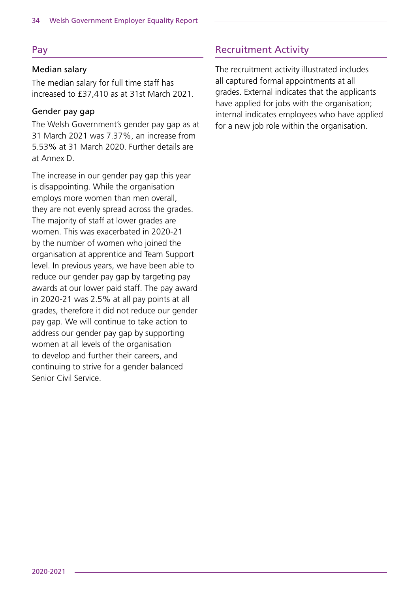#### Pay

#### Median salary

The median salary for full time staff has increased to £37,410 as at 31st March 2021.

#### Gender pay gap

The Welsh Government's gender pay gap as at 31 March 2021 was 7.37%, an increase from 5.53% at 31 March 2020. Further details are at Annex D.

The increase in our gender pay gap this year is disappointing. While the organisation employs more women than men overall, they are not evenly spread across the grades. The majority of staff at lower grades are women. This was exacerbated in 2020-21 by the number of women who joined the organisation at apprentice and Team Support level. In previous years, we have been able to reduce our gender pay gap by targeting pay awards at our lower paid staff. The pay award in 2020-21 was 2.5% at all pay points at all grades, therefore it did not reduce our gender pay gap. We will continue to take action to address our gender pay gap by supporting women at all levels of the organisation to develop and further their careers, and continuing to strive for a gender balanced Senior Civil Service.

# Recruitment Activity

The recruitment activity illustrated includes all captured formal appointments at all grades. External indicates that the applicants have applied for jobs with the organisation; internal indicates employees who have applied for a new job role within the organisation.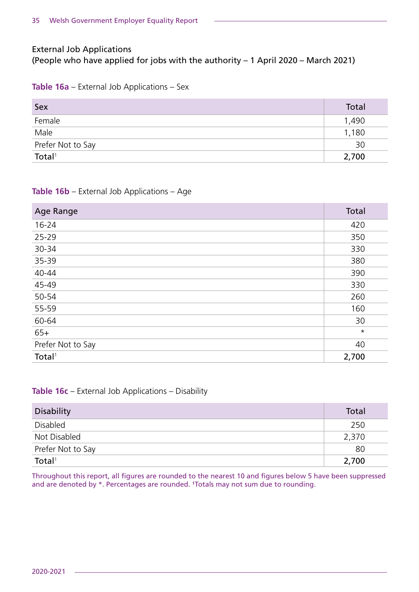#### External Job Applications (People who have applied for jobs with the authority – 1 April 2020 – March 2021)

#### **Table 16a** – External Job Applications – Sex

| Sex                | Total |
|--------------------|-------|
| Female             | 1,490 |
| Male               | 1,180 |
| Prefer Not to Say  | 30    |
| Total <sup>1</sup> | 2,700 |

#### **Table 16b** – External Job Applications – Age

| Age Range          | Total   |
|--------------------|---------|
| $16 - 24$          | 420     |
| 25-29              | 350     |
| 30-34              | 330     |
| 35-39              | 380     |
| 40-44              | 390     |
| 45-49              | 330     |
| 50-54              | 260     |
| 55-59              | 160     |
| 60-64              | 30      |
| $65+$              | $\star$ |
| Prefer Not to Say  | 40      |
| Total <sup>1</sup> | 2,700   |

#### **Table 16c** – External Job Applications – Disability

| <b>Disability</b>  | Total |
|--------------------|-------|
| Disabled           | 250   |
| Not Disabled       | 2,370 |
| Prefer Not to Say  | 80    |
| Total <sup>1</sup> | 2,700 |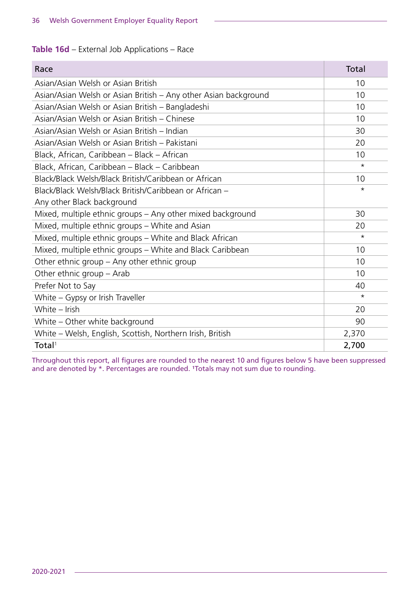#### **Table 16d** – External Job Applications – Race

| Race                                                            | Total   |
|-----------------------------------------------------------------|---------|
| Asian/Asian Welsh or Asian British                              | 10      |
| Asian/Asian Welsh or Asian British – Any other Asian background | 10      |
| Asian/Asian Welsh or Asian British - Bangladeshi                | 10      |
| Asian/Asian Welsh or Asian British - Chinese                    | 10      |
| Asian/Asian Welsh or Asian British – Indian                     | 30      |
| Asian/Asian Welsh or Asian British – Pakistani                  | 20      |
| Black, African, Caribbean - Black - African                     | 10      |
| Black, African, Caribbean - Black - Caribbean                   | $\star$ |
| Black/Black Welsh/Black British/Caribbean or African            | 10      |
| Black/Black Welsh/Black British/Caribbean or African -          | $\star$ |
| Any other Black background                                      |         |
| Mixed, multiple ethnic groups - Any other mixed background      | 30      |
| Mixed, multiple ethnic groups – White and Asian                 | 20      |
| Mixed, multiple ethnic groups – White and Black African         | $\star$ |
| Mixed, multiple ethnic groups – White and Black Caribbean       | 10      |
| Other ethnic group – Any other ethnic group                     | 10      |
| Other ethnic group – Arab                                       | 10      |
| Prefer Not to Say                                               | 40      |
| White – Gypsy or Irish Traveller                                | $\star$ |
| White - Irish                                                   | 20      |
| White – Other white background                                  | 90      |
| White – Welsh, English, Scottish, Northern Irish, British       | 2,370   |
| Total <sup>1</sup>                                              | 2,700   |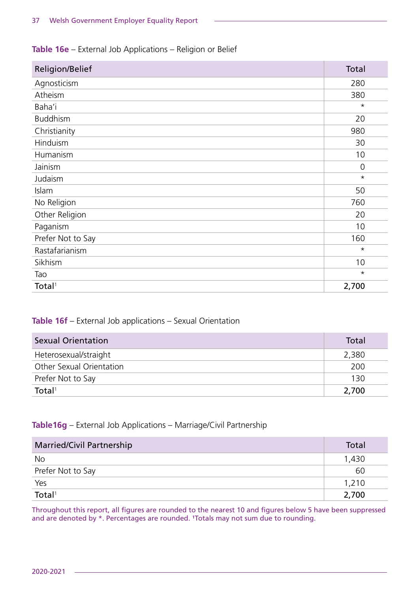#### **Table 16e** – External Job Applications – Religion or Belief

| Religion/Belief    | Total          |
|--------------------|----------------|
| Agnosticism        | 280            |
| Atheism            | 380            |
| Baha'i             | $\star$        |
| <b>Buddhism</b>    | 20             |
| Christianity       | 980            |
| Hinduism           | 30             |
| Humanism           | 10             |
| Jainism            | $\overline{0}$ |
| Judaism            | $\star$        |
| Islam              | 50             |
| No Religion        | 760            |
| Other Religion     | 20             |
| Paganism           | 10             |
| Prefer Not to Say  | 160            |
| Rastafarianism     | $\star$        |
| Sikhism            | 10             |
| Tao                | $\star$        |
| Total <sup>1</sup> | 2,700          |

#### **Table 16f** – External Job applications – Sexual Orientation

| <b>Sexual Orientation</b> | Total |
|---------------------------|-------|
| Heterosexual/straight     | 2,380 |
| Other Sexual Orientation  | 200   |
| Prefer Not to Say         | 130   |
| Total <sup>1</sup>        | 2,700 |

#### **Table16g** – External Job Applications – Marriage/Civil Partnership

| <b>Married/Civil Partnership</b> | Total |
|----------------------------------|-------|
| No                               | 1,430 |
| Prefer Not to Say                | 60    |
| Yes                              | 1,210 |
| Total <sup>1</sup>               | 2,700 |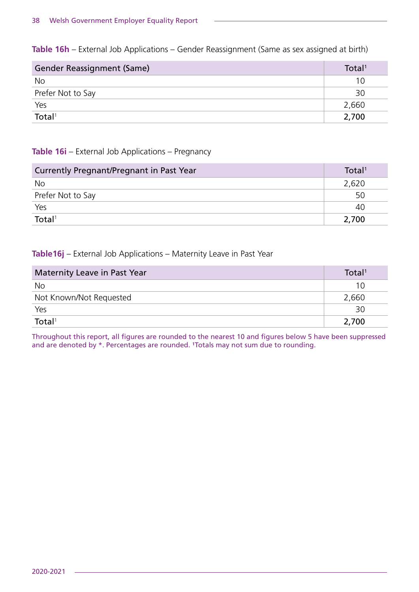**Table 16h** – External Job Applications – Gender Reassignment (Same as sex assigned at birth)

| <b>Gender Reassignment (Same)</b> | Total <sup>1</sup> |
|-----------------------------------|--------------------|
| No                                | 10                 |
| Prefer Not to Say                 | 30                 |
| Yes                               | 2,660              |
| Total <sup>1</sup>                | 2,700              |

#### **Table 16i** – External Job Applications – Pregnancy

| Currently Pregnant/Pregnant in Past Year | Total <sup>1</sup> |
|------------------------------------------|--------------------|
| No                                       | 2,620              |
| Prefer Not to Say                        | 50                 |
| Yes                                      | 40                 |
| Total <sup>1</sup>                       | 2,700              |

#### **Table16j** – External Job Applications – Maternity Leave in Past Year

| Maternity Leave in Past Year | Total <sup>1</sup> |
|------------------------------|--------------------|
| No                           |                    |
| Not Known/Not Requested      | 2,660              |
| Yes                          | 30                 |
| Total <sup>1</sup>           | 2,700              |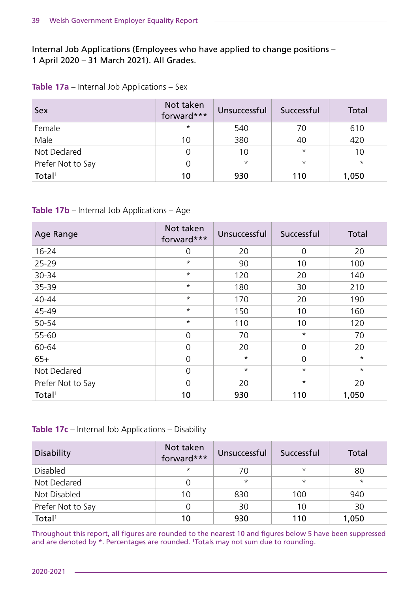Internal Job Applications (Employees who have applied to change positions – 1 April 2020 – 31 March 2021). All Grades.

| Table 17a – Internal Job Applications – Sex |
|---------------------------------------------|
|                                             |

| Sex                | Not taken<br>forward*** | Unsuccessful | Successful | Total    |
|--------------------|-------------------------|--------------|------------|----------|
| Female             | $\star$                 | 540          | 70         | 610      |
| Male               | 10                      | 380          | 40         | 420      |
| Not Declared       |                         | 10           | $\star$    | 10       |
| Prefer Not to Say  |                         | $\star$      | $\star$    | $^\star$ |
| Total <sup>1</sup> | 10                      | 930          | 110        | 1,050    |

#### **Table 17b** – Internal Job Applications – Age

| Age Range          | Not taken<br>forward*** | Unsuccessful | Successful     | Total    |
|--------------------|-------------------------|--------------|----------------|----------|
| $16 - 24$          | $\overline{0}$          | 20           | 0              | 20       |
| 25-29              | $\star$                 | 90           | 10             | 100      |
| 30-34              | $\star$                 | 120          | 20             | 140      |
| 35-39              | $\star$                 | 180          | 30             | 210      |
| 40-44              | $\star$                 | 170          | 20             | 190      |
| 45-49              | $\star$                 | 150          | 10             | 160      |
| 50-54              | $\star$                 | 110          | 10             | 120      |
| 55-60              | $\mathbf 0$             | 70           | $\star$        | 70       |
| 60-64              | $\overline{0}$          | 20           | 0              | 20       |
| $65+$              | $\overline{0}$          | $\star$      | $\overline{0}$ | $^\star$ |
| Not Declared       | $\overline{0}$          | $\star$      | $\star$        | $^\star$ |
| Prefer Not to Say  | $\overline{0}$          | 20           | $\star$        | 20       |
| Total <sup>1</sup> | 10                      | 930          | 110            | 1,050    |

#### **Table 17c** – Internal Job Applications – Disability

| <b>Disability</b>  | Not taken<br>forward*** | Unsuccessful | Successful | Total   |
|--------------------|-------------------------|--------------|------------|---------|
| <b>Disabled</b>    | $\star$                 | 70           | $\star$    | 80      |
| Not Declared       |                         | $\star$      | $\star$    | $\star$ |
| Not Disabled       | 10                      | 830          | 100        | 940     |
| Prefer Not to Say  |                         | 30           | 10         | 30      |
| Total <sup>1</sup> | 10                      | 930          | 110        | 1,050   |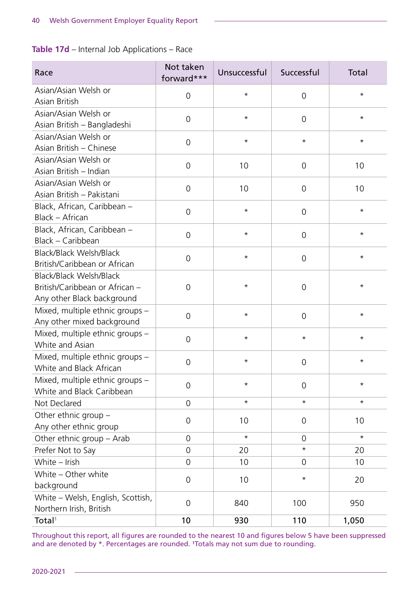**Table 17d** – Internal Job Applications – Race

| Race                                                                                    | Not taken<br>forward*** | Unsuccessful | Successful          | Total    |
|-----------------------------------------------------------------------------------------|-------------------------|--------------|---------------------|----------|
| Asian/Asian Welsh or<br>Asian British                                                   | 0                       | $^\star$     | $\overline{0}$      | $^\star$ |
| Asian/Asian Welsh or<br>Asian British - Bangladeshi                                     | $\overline{0}$          | $^\star$     | $\overline{0}$      | $^\star$ |
| Asian/Asian Welsh or<br>Asian British - Chinese                                         | $\overline{0}$          | $^\star$     | $^\star$            | $^\star$ |
| Asian/Asian Welsh or<br>Asian British - Indian                                          | $\overline{0}$          | 10           | $\overline{0}$      | 10       |
| Asian/Asian Welsh or<br>Asian British - Pakistani                                       | 0                       | 10           | $\overline{0}$      | 10       |
| Black, African, Caribbean -<br>Black - African                                          | $\overline{0}$          | $^\star$     | $\overline{0}$      | $^\star$ |
| Black, African, Caribbean -<br>Black - Caribbean                                        | 0                       | $^\star$     | 0                   | $^\star$ |
| Black/Black Welsh/Black<br>British/Caribbean or African                                 | $\overline{0}$          | $^\star$     | $\overline{0}$      | $^\star$ |
| Black/Black Welsh/Black<br>British/Caribbean or African -<br>Any other Black background | $\overline{0}$          | $^\star$     | $\overline{0}$      | $^\star$ |
| Mixed, multiple ethnic groups -<br>Any other mixed background                           | $\overline{0}$          | $^\star$     | $\overline{0}$      | $^\star$ |
| Mixed, multiple ethnic groups -<br>White and Asian                                      | $\overline{0}$          | $^\star$     | $^\star$            | $^\star$ |
| Mixed, multiple ethnic groups -<br>White and Black African                              | 0                       | $^\star$     | $\overline{0}$      | $^\star$ |
| Mixed, multiple ethnic groups -<br>White and Black Caribbean                            | $\overline{0}$          | $^\star$     | $\mathbf 0$         | $^\star$ |
| Not Declared                                                                            | $\mathbf 0$             | $^\star$     | $^\star$            | $^\star$ |
| Other ethnic group -<br>Any other ethnic group                                          | $\mathbf 0$             | 10           | $\mathsf{O}\xspace$ | 10       |
| Other ethnic group - Arab                                                               | $\overline{0}$          | $\star$      | $\overline{0}$      | $\star$  |
| Prefer Not to Say                                                                       | $\overline{0}$          | 20           | $^\star$            | 20       |
| White - Irish                                                                           | $\overline{0}$          | 10           | $\overline{0}$      | 10       |
| White - Other white<br>background                                                       | $\mathsf{O}\xspace$     | 10           | $^\star$            | 20       |
| White - Welsh, English, Scottish,<br>Northern Irish, British                            | $\overline{0}$          | 840          | 100                 | 950      |
| Total <sup>1</sup>                                                                      | 10                      | 930          | 110                 | 1,050    |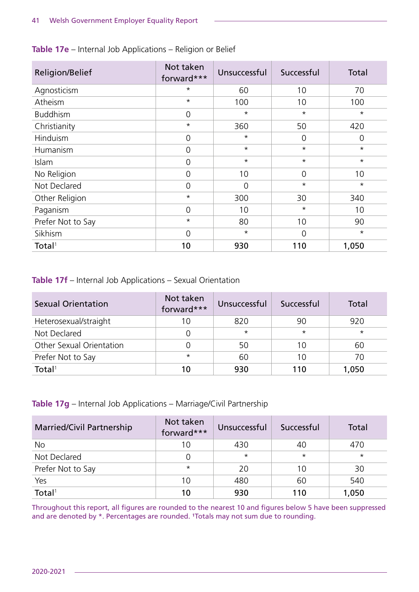| Religion/Belief    | Not taken<br>forward*** | Unsuccessful | Successful     | Total   |
|--------------------|-------------------------|--------------|----------------|---------|
| Agnosticism        | $\star$                 | 60           | 10             | 70      |
| Atheism            | $\star$                 | 100          | 10             | 100     |
| <b>Buddhism</b>    | $\overline{0}$          | $\star$      | $\star$        | $\star$ |
| Christianity       | $\star$                 | 360          | 50             | 420     |
| Hinduism           | $\overline{0}$          | $\star$      | $\overline{0}$ | 0       |
| Humanism           | $\overline{0}$          | $\star$      | $\star$        | $\star$ |
| Islam              | $\overline{0}$          | $\star$      | $\star$        | $\star$ |
| No Religion        | $\overline{0}$          | 10           | $\overline{0}$ | 10      |
| Not Declared       | $\overline{0}$          | $\Omega$     | $\star$        | $\star$ |
| Other Religion     | $\star$                 | 300          | 30             | 340     |
| Paganism           | $\overline{0}$          | 10           | $\star$        | 10      |
| Prefer Not to Say  | $\star$                 | 80           | 10             | 90      |
| Sikhism            | $\overline{0}$          | $^\star$     | $\Omega$       | $\star$ |
| Total <sup>1</sup> | 10                      | 930          | 110            | 1,050   |

#### **Table 17e** – Internal Job Applications – Religion or Belief

#### **Table 17f** – Internal Job Applications – Sexual Orientation

| <b>Sexual Orientation</b> | Not taken<br>forward*** | Unsuccessful | Successful | Total   |
|---------------------------|-------------------------|--------------|------------|---------|
| Heterosexual/straight     | 10                      | 820          | 90         | 920     |
| Not Declared              |                         | $\star$      | $\star$    | $\star$ |
| Other Sexual Orientation  |                         | 50           | 10         | 60      |
| Prefer Not to Say         | $\star$                 | 60           | 10         | 70      |
| Total <sup>1</sup>        | 10                      | 930          | 110        | 1,050   |

#### **Table 17g** – Internal Job Applications – Marriage/Civil Partnership

| <b>Married/Civil Partnership</b> | Not taken<br>forward*** | Unsuccessful | Successful | Total   |
|----------------------------------|-------------------------|--------------|------------|---------|
| <b>No</b>                        | 10                      | 430          | 40         | 470     |
| Not Declared                     |                         | $\star$      | $\star$    | $\star$ |
| Prefer Not to Say                | $\star$                 | 20           | 10         | 30      |
| Yes                              | 10                      | 480          | 60         | 540     |
| Total <sup>1</sup>               | 10                      | 930          | 110        | 1,050   |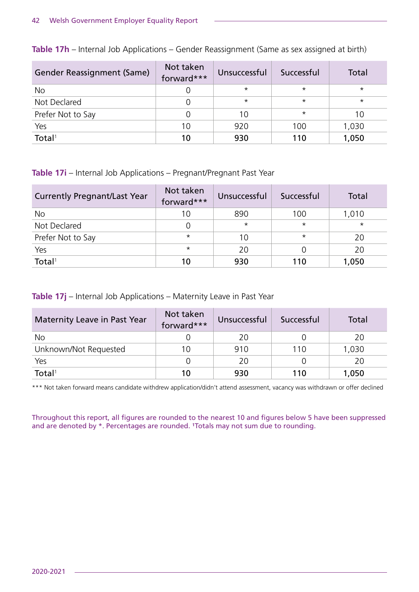| <b>Gender Reassignment (Same)</b> | Not taken<br>forward*** | Unsuccessful | Successful | Total   |
|-----------------------------------|-------------------------|--------------|------------|---------|
| No                                |                         | $\star$      | $\star$    | $\star$ |
| Not Declared                      |                         | $\star$      | $\star$    | $\star$ |
| Prefer Not to Say                 |                         | 10           | $\star$    | 10      |
| Yes                               | 10                      | 920          | 100        | 1,030   |
| Total <sup>1</sup>                | 10                      | 930          | 110        | 1,050   |

**Table 17h** – Internal Job Applications – Gender Reassignment (Same as sex assigned at birth)

#### **Table 17i** – Internal Job Applications – Pregnant/Pregnant Past Year

| <b>Currently Pregnant/Last Year</b> | Not taken<br>forward*** | Unsuccessful | Successful | Total   |
|-------------------------------------|-------------------------|--------------|------------|---------|
| No                                  | 10                      | 890          | 100        | 1,010   |
| Not Declared                        |                         | $\star$      | $\star$    | $\star$ |
| Prefer Not to Say                   | $\star$                 | 10           | $\star$    | 20      |
| Yes                                 | $\star$                 | 20           |            | 20      |
| Total <sup>1</sup>                  | 10                      | 930          | 110        | 1,050   |

#### **Table 17j** – Internal Job Applications – Maternity Leave in Past Year

| Maternity Leave in Past Year | Not taken<br>forward*** | Unsuccessful | Successful | Total |
|------------------------------|-------------------------|--------------|------------|-------|
| No                           |                         | 20           |            | 20    |
| Unknown/Not Requested        | 10                      | 910          | 110        | 1,030 |
| Yes                          |                         | 20           |            | 20    |
| Total <sup>1</sup>           | 10                      | 930          | 110        | 1,050 |

\*\*\* Not taken forward means candidate withdrew application/didn't attend assessment, vacancy was withdrawn or offer declined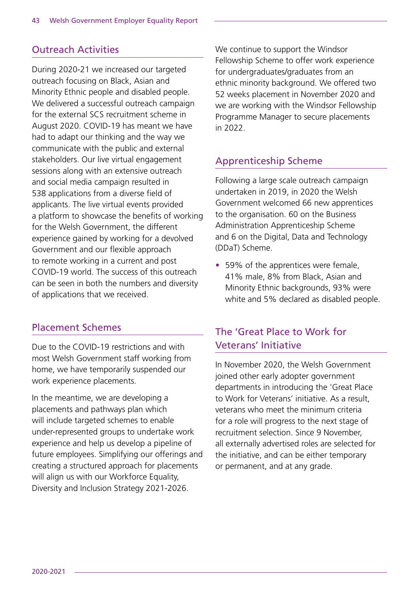## Outreach Activities

During 2020-21 we increased our targeted outreach focusing on Black, Asian and Minority Ethnic people and disabled people. We delivered a successful outreach campaign for the external SCS recruitment scheme in August 2020. COVID-19 has meant we have had to adapt our thinking and the way we communicate with the public and external stakeholders. Our live virtual engagement sessions along with an extensive outreach and social media campaign resulted in 538 applications from a diverse field of applicants. The live virtual events provided a platform to showcase the benefits of working for the Welsh Government, the different experience gained by working for a devolved Government and our flexible approach to remote working in a current and post COVID-19 world. The success of this outreach can be seen in both the numbers and diversity of applications that we received.

### Placement Schemes

Due to the COVID-19 restrictions and with most Welsh Government staff working from home, we have temporarily suspended our work experience placements.

In the meantime, we are developing a placements and pathways plan which will include targeted schemes to enable under-represented groups to undertake work experience and help us develop a pipeline of future employees. Simplifying our offerings and creating a structured approach for placements will align us with our Workforce Equality, Diversity and Inclusion Strategy 2021-2026.

We continue to support the Windsor Fellowship Scheme to offer work experience for undergraduates/graduates from an ethnic minority background. We offered two 52 weeks placement in November 2020 and we are working with the Windsor Fellowship Programme Manager to secure placements in 2022.

### Apprenticeship Scheme

Following a large scale outreach campaign undertaken in 2019, in 2020 the Welsh Government welcomed 66 new apprentices to the organisation. 60 on the Business Administration Apprenticeship Scheme and 6 on the Digital, Data and Technology (DDaT) Scheme.

• 59% of the apprentices were female, 41% male, 8% from Black, Asian and Minority Ethnic backgrounds, 93% were white and 5% declared as disabled people.

## The 'Great Place to Work for Veterans' Initiative

In November 2020, the Welsh Government joined other early adopter government departments in introducing the 'Great Place to Work for Veterans' initiative. As a result, veterans who meet the minimum criteria for a role will progress to the next stage of recruitment selection. Since 9 November, all externally advertised roles are selected for the initiative, and can be either temporary or permanent, and at any grade.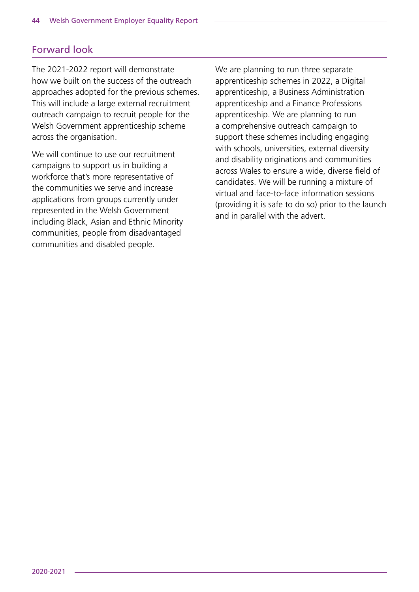## Forward look

The 2021-2022 report will demonstrate how we built on the success of the outreach approaches adopted for the previous schemes. This will include a large external recruitment outreach campaign to recruit people for the Welsh Government apprenticeship scheme across the organisation.

We will continue to use our recruitment campaigns to support us in building a workforce that's more representative of the communities we serve and increase applications from groups currently under represented in the Welsh Government including Black, Asian and Ethnic Minority communities, people from disadvantaged communities and disabled people.

We are planning to run three separate apprenticeship schemes in 2022, a Digital apprenticeship, a Business Administration apprenticeship and a Finance Professions apprenticeship. We are planning to run a comprehensive outreach campaign to support these schemes including engaging with schools, universities, external diversity and disability originations and communities across Wales to ensure a wide, diverse field of candidates. We will be running a mixture of virtual and face-to-face information sessions (providing it is safe to do so) prior to the launch and in parallel with the advert.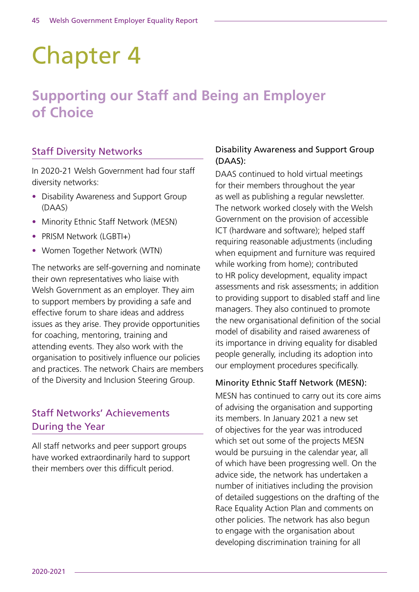# Chapter 4

# **Supporting our Staff and Being an Employer of Choice**

# Staff Diversity Networks

In 2020-21 Welsh Government had four staff diversity networks:

- Disability Awareness and Support Group (DAAS)
- Minority Ethnic Staff Network (MESN)
- PRISM Network (LGBTI+)
- Women Together Network (WTN)

The networks are self-governing and nominate their own representatives who liaise with Welsh Government as an employer. They aim to support members by providing a safe and effective forum to share ideas and address issues as they arise. They provide opportunities for coaching, mentoring, training and attending events. They also work with the organisation to positively influence our policies and practices. The network Chairs are members of the Diversity and Inclusion Steering Group.

# Staff Networks' Achievements During the Year

All staff networks and peer support groups have worked extraordinarily hard to support their members over this difficult period.

#### Disability Awareness and Support Group (DAAS):

DAAS continued to hold virtual meetings for their members throughout the year as well as publishing a regular newsletter. The network worked closely with the Welsh Government on the provision of accessible ICT (hardware and software); helped staff requiring reasonable adjustments (including when equipment and furniture was required while working from home); contributed to HR policy development, equality impact assessments and risk assessments; in addition to providing support to disabled staff and line managers. They also continued to promote the new organisational definition of the social model of disability and raised awareness of its importance in driving equality for disabled people generally, including its adoption into our employment procedures specifically.

#### Minority Ethnic Staff Network (MESN):

MESN has continued to carry out its core aims of advising the organisation and supporting its members. In January 2021 a new set of objectives for the year was introduced which set out some of the projects MESN would be pursuing in the calendar year, all of which have been progressing well. On the advice side, the network has undertaken a number of initiatives including the provision of detailed suggestions on the drafting of the Race Equality Action Plan and comments on other policies. The network has also begun to engage with the organisation about developing discrimination training for all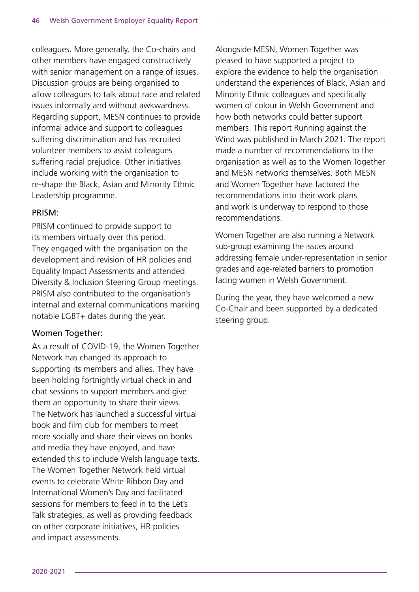colleagues. More generally, the Co-chairs and other members have engaged constructively with senior management on a range of issues. Discussion groups are being organised to allow colleagues to talk about race and related issues informally and without awkwardness. Regarding support, MESN continues to provide informal advice and support to colleagues suffering discrimination and has recruited volunteer members to assist colleagues suffering racial prejudice. Other initiatives include working with the organisation to re-shape the Black, Asian and Minority Ethnic Leadership programme.

#### PRISM:

PRISM continued to provide support to its members virtually over this period. They engaged with the organisation on the development and revision of HR policies and Equality Impact Assessments and attended Diversity & Inclusion Steering Group meetings. PRISM also contributed to the organisation's internal and external communications marking notable LGBT+ dates during the year.

#### Women Together:

As a result of COVID-19, the Women Together Network has changed its approach to supporting its members and allies. They have been holding fortnightly virtual check in and chat sessions to support members and give them an opportunity to share their views. The Network has launched a successful virtual book and film club for members to meet more socially and share their views on books and media they have enjoyed, and have extended this to include Welsh language texts. The Women Together Network held virtual events to celebrate White Ribbon Day and International Women's Day and facilitated sessions for members to feed in to the Let's Talk strategies, as well as providing feedback on other corporate initiatives, HR policies and impact assessments.

Alongside MESN, Women Together was pleased to have supported a project to explore the evidence to help the organisation understand the experiences of Black, Asian and Minority Ethnic colleagues and specifically women of colour in Welsh Government and how both networks could better support members. This report Running against the Wind was published in March 2021. The report made a number of recommendations to the organisation as well as to the Women Together and MESN networks themselves. Both MESN and Women Together have factored the recommendations into their work plans and work is underway to respond to those recommendations.

Women Together are also running a Network sub-group examining the issues around addressing female under-representation in senior grades and age-related barriers to promotion facing women in Welsh Government.

During the year, they have welcomed a new Co-Chair and been supported by a dedicated steering group.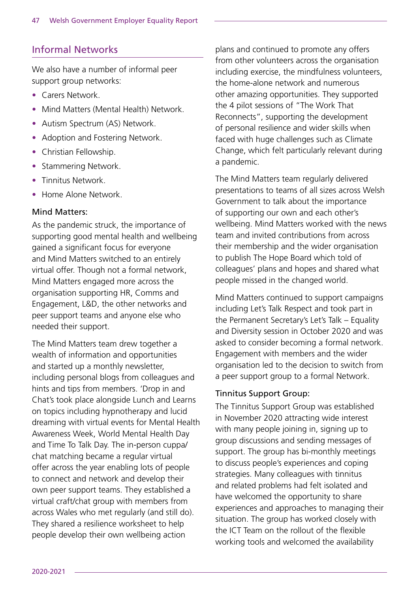### Informal Networks

We also have a number of informal peer support group networks:

- Carers Network.
- Mind Matters (Mental Health) Network.
- Autism Spectrum (AS) Network.
- Adoption and Fostering Network.
- Christian Fellowship.
- Stammering Network.
- Tinnitus Network.
- Home Alone Network.

#### Mind Matters:

As the pandemic struck, the importance of supporting good mental health and wellbeing gained a significant focus for everyone and Mind Matters switched to an entirely virtual offer. Though not a formal network, Mind Matters engaged more across the organisation supporting HR, Comms and Engagement, L&D, the other networks and peer support teams and anyone else who needed their support.

The Mind Matters team drew together a wealth of information and opportunities and started up a monthly newsletter, including personal blogs from colleagues and hints and tips from members. 'Drop in and Chat's took place alongside Lunch and Learns on topics including hypnotherapy and lucid dreaming with virtual events for Mental Health Awareness Week, World Mental Health Day and Time To Talk Day. The in-person cuppa/ chat matching became a regular virtual offer across the year enabling lots of people to connect and network and develop their own peer support teams. They established a virtual craft/chat group with members from across Wales who met regularly (and still do). They shared a resilience worksheet to help people develop their own wellbeing action

plans and continued to promote any offers from other volunteers across the organisation including exercise, the mindfulness volunteers, the home-alone network and numerous other amazing opportunities. They supported the 4 pilot sessions of "The Work That Reconnects", supporting the development of personal resilience and wider skills when faced with huge challenges such as Climate Change, which felt particularly relevant during a pandemic.

The Mind Matters team regularly delivered presentations to teams of all sizes across Welsh Government to talk about the importance of supporting our own and each other's wellbeing. Mind Matters worked with the news team and invited contributions from across their membership and the wider organisation to publish The Hope Board which told of colleagues' plans and hopes and shared what people missed in the changed world.

Mind Matters continued to support campaigns including Let's Talk Respect and took part in the Permanent Secretary's Let's Talk – Equality and Diversity session in October 2020 and was asked to consider becoming a formal network. Engagement with members and the wider organisation led to the decision to switch from a peer support group to a formal Network.

#### Tinnitus Support Group:

The Tinnitus Support Group was established in November 2020 attracting wide interest with many people joining in, signing up to group discussions and sending messages of support. The group has bi-monthly meetings to discuss people's experiences and coping strategies. Many colleagues with tinnitus and related problems had felt isolated and have welcomed the opportunity to share experiences and approaches to managing their situation. The group has worked closely with the ICT Team on the rollout of the flexible working tools and welcomed the availability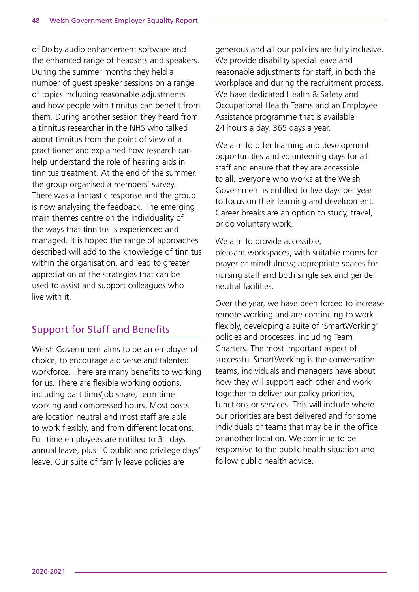of Dolby audio enhancement software and the enhanced range of headsets and speakers. During the summer months they held a number of guest speaker sessions on a range of topics including reasonable adjustments and how people with tinnitus can benefit from them. During another session they heard from a tinnitus researcher in the NHS who talked about tinnitus from the point of view of a practitioner and explained how research can help understand the role of hearing aids in tinnitus treatment. At the end of the summer, the group organised a members' survey. There was a fantastic response and the group is now analysing the feedback. The emerging main themes centre on the individuality of the ways that tinnitus is experienced and managed. It is hoped the range of approaches described will add to the knowledge of tinnitus within the organisation, and lead to greater appreciation of the strategies that can be used to assist and support colleagues who live with it.

# Support for Staff and Benefits

Welsh Government aims to be an employer of choice, to encourage a diverse and talented workforce. There are many benefits to working for us. There are flexible working options, including part time/job share, term time working and compressed hours. Most posts are location neutral and most staff are able to work flexibly, and from different locations. Full time employees are entitled to 31 days annual leave, plus 10 public and privilege days' leave. Our suite of family leave policies are

generous and all our policies are fully inclusive. We provide disability special leave and reasonable adjustments for staff, in both the workplace and during the recruitment process. We have dedicated Health & Safety and Occupational Health Teams and an Employee Assistance programme that is available 24 hours a day, 365 days a year.

We aim to offer learning and development opportunities and volunteering days for all staff and ensure that they are accessible to all. Everyone who works at the Welsh Government is entitled to five days per year to focus on their learning and development. Career breaks are an option to study, travel, or do voluntary work.

We aim to provide accessible, pleasant workspaces, with suitable rooms for prayer or mindfulness; appropriate spaces for nursing staff and both single sex and gender neutral facilities.

Over the year, we have been forced to increase remote working and are continuing to work flexibly, developing a suite of 'SmartWorking' policies and processes, including Team Charters. The most important aspect of successful SmartWorking is the conversation teams, individuals and managers have about how they will support each other and work together to deliver our policy priorities, functions or services. This will include where our priorities are best delivered and for some individuals or teams that may be in the office or another location. We continue to be responsive to the public health situation and follow public health advice.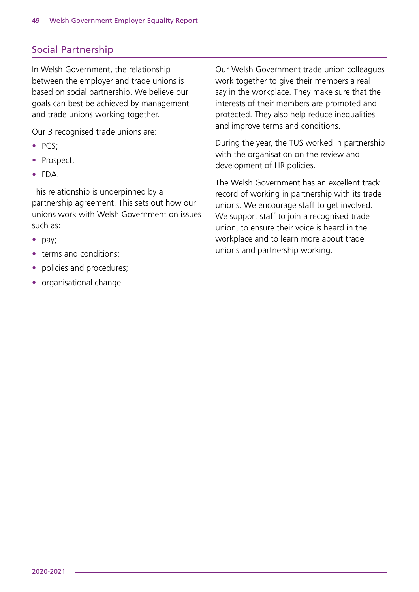# Social Partnership

In Welsh Government, the relationship between the employer and trade unions is based on social partnership. We believe our goals can best be achieved by management and trade unions working together.

Our 3 recognised trade unions are:

- PCS;
- Prospect;
- FDA.

This relationship is underpinned by a partnership agreement. This sets out how our unions work with Welsh Government on issues such as:

- pay;
- terms and conditions:
- policies and procedures:
- organisational change.

Our Welsh Government trade union colleagues work together to give their members a real say in the workplace. They make sure that the interests of their members are promoted and protected. They also help reduce inequalities and improve terms and conditions.

During the year, the TUS worked in partnership with the organisation on the review and development of HR policies.

The Welsh Government has an excellent track record of working in partnership with its trade unions. We encourage staff to get involved. We support staff to join a recognised trade union, to ensure their voice is heard in the workplace and to learn more about trade unions and partnership working.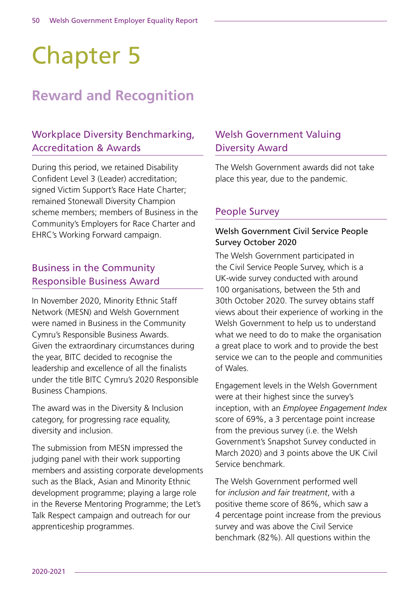# Chapter 5

# **Reward and Recognition**

# Workplace Diversity Benchmarking, Accreditation & Awards

During this period, we retained Disability Confident Level 3 (Leader) accreditation; signed Victim Support's Race Hate Charter; remained Stonewall Diversity Champion scheme members; members of Business in the Community's Employers for Race Charter and EHRC's Working Forward campaign.

### Business in the Community Responsible Business Award

In November 2020, Minority Ethnic Staff Network (MESN) and Welsh Government were named in Business in the Community Cymru's Responsible Business Awards. Given the extraordinary circumstances during the year, BITC decided to recognise the leadership and excellence of all the finalists under the title BITC Cymru's 2020 Responsible Business Champions.

The award was in the Diversity & Inclusion category, for progressing race equality, diversity and inclusion.

The submission from MESN impressed the judging panel with their work supporting members and assisting corporate developments such as the Black, Asian and Minority Ethnic development programme; playing a large role in the Reverse Mentoring Programme; the Let's Talk Respect campaign and outreach for our apprenticeship programmes.

## Welsh Government Valuing Diversity Award

The Welsh Government awards did not take place this year, due to the pandemic.

### People Survey

#### Welsh Government Civil Service People Survey October 2020

The Welsh Government participated in the Civil Service People Survey, which is a UK-wide survey conducted with around 100 organisations, between the 5th and 30th October 2020. The survey obtains staff views about their experience of working in the Welsh Government to help us to understand what we need to do to make the organisation a great place to work and to provide the best service we can to the people and communities of Wales.

Engagement levels in the Welsh Government were at their highest since the survey's inception, with an *Employee Engagement Index*  score of 69%, a 3 percentage point increase from the previous survey (i.e. the Welsh Government's Snapshot Survey conducted in March 2020) and 3 points above the UK Civil Service benchmark.

The Welsh Government performed well for *inclusion and fair treatment*, with a positive theme score of 86%, which saw a 4 percentage point increase from the previous survey and was above the Civil Service benchmark (82%). All questions within the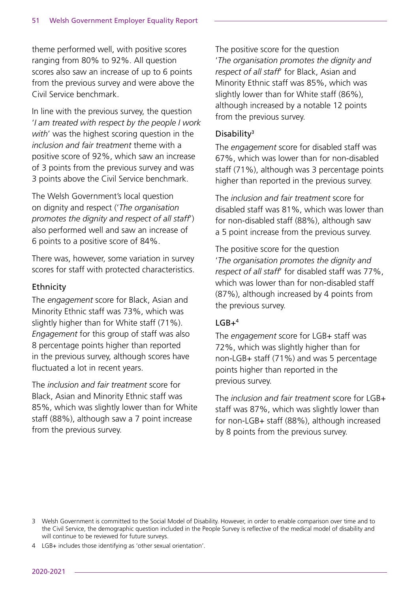theme performed well, with positive scores ranging from 80% to 92%. All question scores also saw an increase of up to 6 points from the previous survey and were above the Civil Service benchmark.

In line with the previous survey, the question '*I am treated with respect by the people I work with*' was the highest scoring question in the *inclusion and fair treatment* theme with a positive score of 92%, which saw an increase of 3 points from the previous survey and was 3 points above the Civil Service benchmark.

The Welsh Government's local question on dignity and respect ('*The organisation promotes the dignity and respect of all staff*') also performed well and saw an increase of 6 points to a positive score of 84%.

There was, however, some variation in survey scores for staff with protected characteristics.

#### Ethnicity

The *engagement* score for Black, Asian and Minority Ethnic staff was 73%, which was slightly higher than for White staff (71%). *Engagement* for this group of staff was also 8 percentage points higher than reported in the previous survey, although scores have fluctuated a lot in recent years.

The *inclusion and fair treatment* score for Black, Asian and Minority Ethnic staff was 85%, which was slightly lower than for White staff (88%), although saw a 7 point increase from the previous survey.

The positive score for the question '*The organisation promotes the dignity and respect of all staff*' for Black, Asian and Minority Ethnic staff was 85%, which was slightly lower than for White staff (86%), although increased by a notable 12 points from the previous survey.

#### Disability3

The *engagement* score for disabled staff was 67%, which was lower than for non-disabled staff (71%), although was 3 percentage points higher than reported in the previous survey.

The *inclusion and fair treatment* score for disabled staff was 81%, which was lower than for non-disabled staff (88%), although saw a 5 point increase from the previous survey.

The positive score for the question '*The organisation promotes the dignity and respect of all staff*' for disabled staff was 77%, which was lower than for non-disabled staff (87%), although increased by 4 points from the previous survey.

#### $IGR+4$

The *engagement* score for LGB+ staff was 72%, which was slightly higher than for non-LGB+ staff (71%) and was 5 percentage points higher than reported in the previous survey.

The *inclusion and fair treatment* score for LGB+ staff was 87%, which was slightly lower than for non-LGB+ staff (88%), although increased by 8 points from the previous survey.

<sup>3</sup> Welsh Government is committed to the Social Model of Disability. However, in order to enable comparison over time and to the Civil Service, the demographic question included in the People Survey is reflective of the medical model of disability and will continue to be reviewed for future surveys.

<sup>4</sup> LGB+ includes those identifying as 'other sexual orientation'.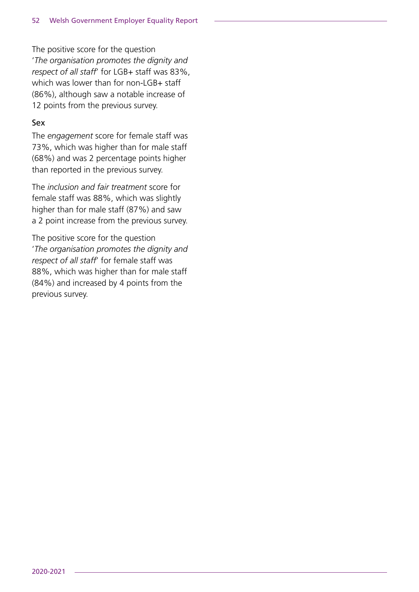The positive score for the question '*The organisation promotes the dignity and respect of all staff*' for LGB+ staff was 83%, which was lower than for non-LGB+ staff (86%), although saw a notable increase of 12 points from the previous survey.

#### Sex

The *engagement* score for female staff was 73%, which was higher than for male staff (68%) and was 2 percentage points higher than reported in the previous survey.

The *inclusion and fair treatment* score for female staff was 88%, which was slightly higher than for male staff (87%) and saw a 2 point increase from the previous survey.

The positive score for the question '*The organisation promotes the dignity and respect of all staff*' for female staff was 88%, which was higher than for male staff (84%) and increased by 4 points from the previous survey.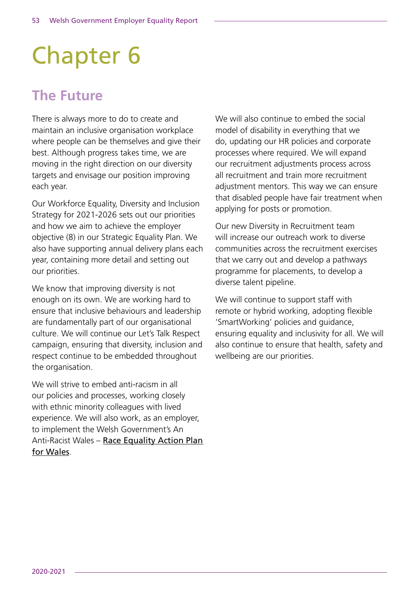# Chapter 6

# **The Future**

There is always more to do to create and maintain an inclusive organisation workplace where people can be themselves and give their best. Although progress takes time, we are moving in the right direction on our diversity targets and envisage our position improving each year.

Our Workforce Equality, Diversity and Inclusion Strategy for 2021-2026 sets out our priorities and how we aim to achieve the employer objective (8) in our Strategic Equality Plan. We also have supporting annual delivery plans each year, containing more detail and setting out our priorities.

We know that improving diversity is not enough on its own. We are working hard to ensure that inclusive behaviours and leadership are fundamentally part of our organisational culture. We will continue our Let's Talk Respect campaign, ensuring that diversity, inclusion and respect continue to be embedded throughout the organisation.

We will strive to embed anti-racism in all our policies and processes, working closely with ethnic minority colleagues with lived experience. We will also work, as an employer, to implement the Welsh Government's An Anti-Racist Wales – [Race Equality Action Plan](https://gov.wales/sites/default/files/consultations/2021-03/race-equality-action-plan-an-anti-racist-wales_2.pdf)  [for Wales](https://gov.wales/sites/default/files/consultations/2021-03/race-equality-action-plan-an-anti-racist-wales_2.pdf).

We will also continue to embed the social model of disability in everything that we do, updating our HR policies and corporate processes where required. We will expand our recruitment adjustments process across all recruitment and train more recruitment adjustment mentors. This way we can ensure that disabled people have fair treatment when applying for posts or promotion.

Our new Diversity in Recruitment team will increase our outreach work to diverse communities across the recruitment exercises that we carry out and develop a pathways programme for placements, to develop a diverse talent pipeline.

We will continue to support staff with remote or hybrid working, adopting flexible 'SmartWorking' policies and guidance, ensuring equality and inclusivity for all. We will also continue to ensure that health, safety and wellbeing are our priorities.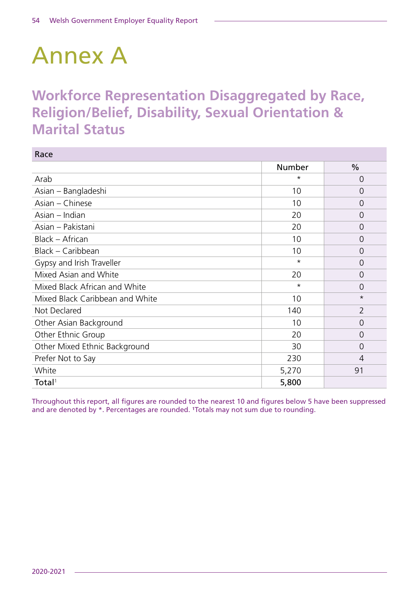# Annex A

# **Workforce Representation Disaggregated by Race, Religion/Belief, Disability, Sexual Orientation & Marital Status**

| Race                            |         |                |
|---------------------------------|---------|----------------|
|                                 | Number  | $\%$           |
| Arab                            | $\star$ | $\overline{0}$ |
| Asian – Bangladeshi             | 10      | $\Omega$       |
| Asian - Chinese                 | 10      | $\Omega$       |
| Asian – Indian                  | 20      | $\Omega$       |
| Asian - Pakistani               | 20      | $\Omega$       |
| Black - African                 | 10      | $\Omega$       |
| Black - Caribbean               | 10      | $\Omega$       |
| Gypsy and Irish Traveller       | $\star$ | $\overline{0}$ |
| Mixed Asian and White           | 20      | O              |
| Mixed Black African and White   | $\star$ | $\Omega$       |
| Mixed Black Caribbean and White | 10      | $^\star$       |
| Not Declared                    | 140     | $\overline{2}$ |
| Other Asian Background          | 10      | $\Omega$       |
| Other Ethnic Group              | 20      | $\Omega$       |
| Other Mixed Ethnic Background   | 30      | $\overline{0}$ |
| Prefer Not to Say               | 230     | 4              |
| White                           | 5,270   | 91             |
| Total <sup>1</sup>              | 5,800   |                |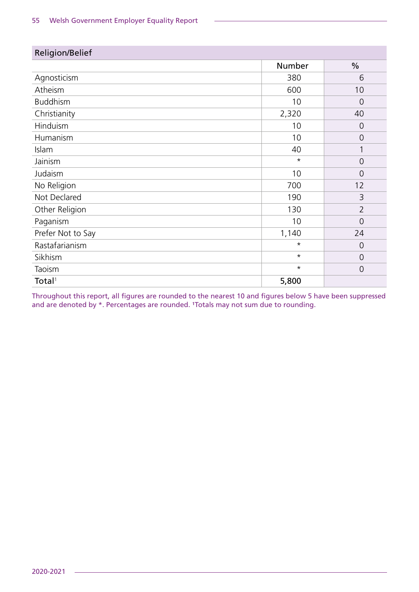| Religion/Belief    |          |                |
|--------------------|----------|----------------|
|                    | Number   | $\frac{0}{0}$  |
| Agnosticism        | 380      | 6              |
| Atheism            | 600      | 10             |
| <b>Buddhism</b>    | 10       | $\Omega$       |
| Christianity       | 2,320    | 40             |
| Hinduism           | 10       | $\overline{0}$ |
| Humanism           | 10       | $\overline{0}$ |
| Islam              | 40       |                |
| Jainism            | $\star$  | $\overline{0}$ |
| Judaism            | 10       | $\Omega$       |
| No Religion        | 700      | 12             |
| Not Declared       | 190      | 3              |
| Other Religion     | 130      | $\overline{2}$ |
| Paganism           | 10       | $\Omega$       |
| Prefer Not to Say  | 1,140    | 24             |
| Rastafarianism     | $\star$  | $\overline{0}$ |
| Sikhism            | $^\star$ | $\overline{0}$ |
| Taoism             | $\star$  | $\overline{0}$ |
| Total <sup>1</sup> | 5,800    |                |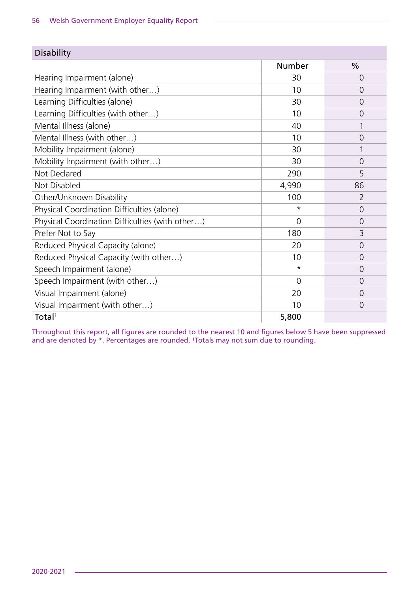| <b>Disability</b>                               |                |                |
|-------------------------------------------------|----------------|----------------|
|                                                 | Number         | $\frac{0}{0}$  |
| Hearing Impairment (alone)                      | 30             | 0              |
| Hearing Impairment (with other)                 | 10             | 0              |
| Learning Difficulties (alone)                   | 30             | 0              |
| Learning Difficulties (with other)              | 10             | 0              |
| Mental Illness (alone)                          | 40             |                |
| Mental Illness (with other)                     | 10             | 0              |
| Mobility Impairment (alone)                     | 30             |                |
| Mobility Impairment (with other)                | 30             | 0              |
| Not Declared                                    | 290            | 5              |
| Not Disabled                                    | 4,990          | 86             |
| Other/Unknown Disability                        | 100            | $\overline{2}$ |
| Physical Coordination Difficulties (alone)      | $\star$        | $\Omega$       |
| Physical Coordination Difficulties (with other) | $\Omega$       | 0              |
| Prefer Not to Say                               | 180            | 3              |
| Reduced Physical Capacity (alone)               | 20             | 0              |
| Reduced Physical Capacity (with other)          | 10             | 0              |
| Speech Impairment (alone)                       | $\star$        | $\Omega$       |
| Speech Impairment (with other)                  | $\overline{0}$ | 0              |
| Visual Impairment (alone)                       | 20             | 0              |
| Visual Impairment (with other)                  | 10             | 0              |
| Total <sup>1</sup>                              | 5,800          |                |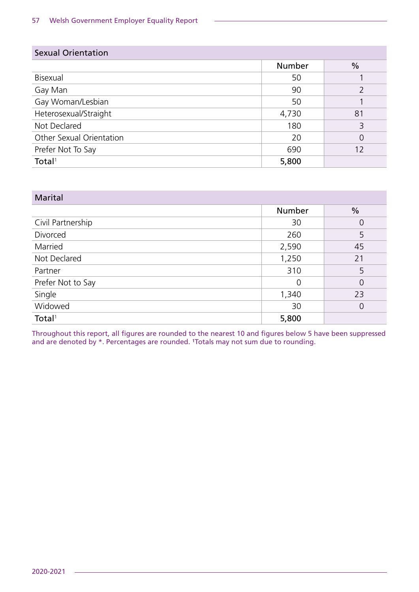| <b>Sexual Orientation</b> |               |               |
|---------------------------|---------------|---------------|
|                           | <b>Number</b> | $\frac{0}{0}$ |
| Bisexual                  | 50            |               |
| Gay Man                   | 90            |               |
| Gay Woman/Lesbian         | 50            |               |
| Heterosexual/Straight     | 4,730         | 81            |
| Not Declared              | 180           | 3             |
| Other Sexual Orientation  | 20            | 0             |
| Prefer Not To Say         | 690           | 12            |
| Total <sup>1</sup>        | 5,800         |               |

| <b>Marital</b>     |                |                |
|--------------------|----------------|----------------|
|                    | <b>Number</b>  | $\frac{0}{0}$  |
| Civil Partnership  | 30             | 0              |
| Divorced           | 260            | 5              |
| Married            | 2,590          | 45             |
| Not Declared       | 1,250          | 21             |
| Partner            | 310            | 5              |
| Prefer Not to Say  | $\overline{0}$ | 0              |
| Single             | 1,340          | 23             |
| Widowed            | 30             | $\overline{0}$ |
| Total <sup>1</sup> | 5,800          |                |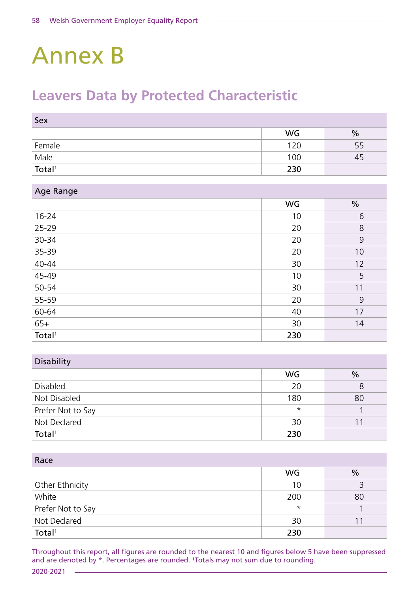# Annex B

# **Leavers Data by Protected Characteristic**

| Sex                   |           |      |
|-----------------------|-----------|------|
|                       | <b>WG</b> | $\%$ |
| Female                | 120       | 55   |
| $\frac{Male}{Total1}$ | 100       | 45   |
|                       | 230       |      |

| Age Range |  |  |
|-----------|--|--|
|           |  |  |

|                    | <b>WG</b> | $\frac{0}{0}$ |
|--------------------|-----------|---------------|
| $16 - 24$          | 10        | 6             |
| 25-29              | 20        | 8             |
| 30-34              | 20        | 9             |
| 35-39              | 20        | 10            |
| 40-44              | 30        | 12            |
| 45-49              | 10        | 5             |
| 50-54              | 30        | 11            |
| 55-59              | 20        | 9             |
| 60-64              | 40        | 17            |
| $65+$              | 30        | 14            |
| Total <sup>1</sup> | 230       |               |

#### Disability

|                    | <b>WG</b> | $\frac{0}{0}$ |
|--------------------|-----------|---------------|
| Disabled           | 20        |               |
| Not Disabled       | 180       | 80            |
| Prefer Not to Say  | $\star$   |               |
| Not Declared       | 30        |               |
| Total <sup>1</sup> | 230       |               |

Race

| nacc               |           |               |
|--------------------|-----------|---------------|
|                    | <b>WG</b> | $\frac{0}{0}$ |
| Other Ethnicity    | 10        |               |
| White              | 200       | 80            |
| Prefer Not to Say  | $^\star$  |               |
| Not Declared       | 30        |               |
| Total <sup>1</sup> | 230       |               |

Throughout this report, all figures are rounded to the nearest 10 and figures below 5 have been suppressed and are denoted by \*. Percentages are rounded. <sup>1</sup>Totals may not sum due to rounding.

2020-2021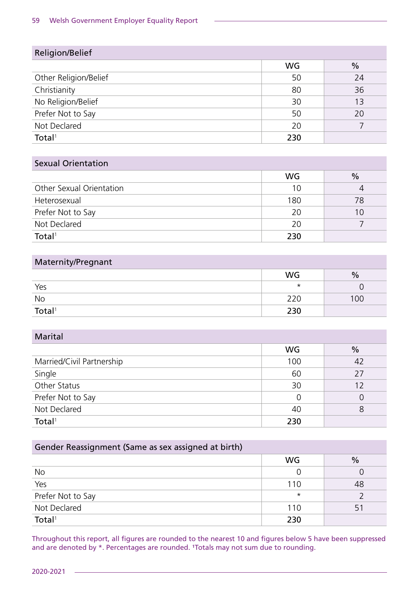| Religion/Belief       |           |               |
|-----------------------|-----------|---------------|
|                       | <b>WG</b> | $\frac{0}{0}$ |
| Other Religion/Belief | 50        | 24            |
| Christianity          | 80        | 36            |
| No Religion/Belief    | 30        | 13            |
| Prefer Not to Say     | 50        | 20            |
| Not Declared          | 20        |               |
| Total <sup>1</sup>    | 230       |               |

#### Sexual Orientation

|                          | WG  | $\frac{0}{0}$ |
|--------------------------|-----|---------------|
| Other Sexual Orientation | 10  |               |
| Heterosexual             | 180 | 78            |
| Prefer Not to Say        | 20  | 10            |
| Not Declared             | 20  |               |
| Total <sup>1</sup>       | 230 |               |

### Maternity/Pregnant

|                    | <b>WG</b> | $\frac{0}{0}$ |
|--------------------|-----------|---------------|
| Yes                | $^\star$  |               |
| No                 | 220       | 100           |
| Total <sup>1</sup> | 230       |               |

#### Marital

|                           | <b>WG</b> | $\frac{0}{0}$ |
|---------------------------|-----------|---------------|
| Married/Civil Partnership | 100       | 42            |
| Single                    | 60        | 27            |
| Other Status              | 30        | 12            |
| Prefer Not to Say         | 0         |               |
| Not Declared              | 40        |               |
| Total <sup>1</sup>        | 230       |               |

| Gender Reassignment (Same as sex assigned at birth) |           |               |
|-----------------------------------------------------|-----------|---------------|
|                                                     | <b>WG</b> | $\frac{0}{0}$ |
| <b>No</b>                                           | O         |               |
| Yes                                                 | 110       | 48            |
| Prefer Not to Say                                   | $\star$   |               |
| Not Declared                                        | 110       | 51            |
| Total <sup>1</sup>                                  | 230       |               |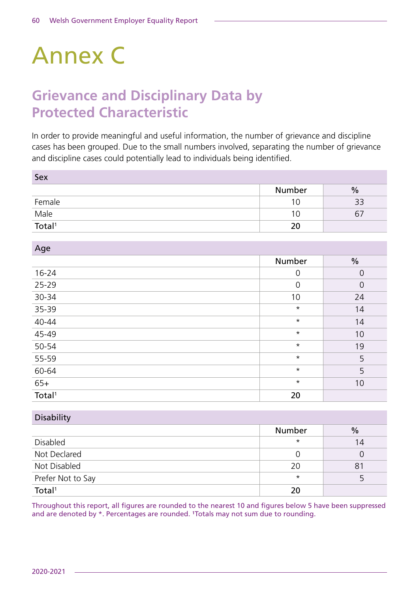# Annex C

# **Grievance and Disciplinary Data by Protected Characteristic**

In order to provide meaningful and useful information, the number of grievance and discipline cases has been grouped. Due to the small numbers involved, separating the number of grievance and discipline cases could potentially lead to individuals being identified.

| Sex                                                 |        |               |
|-----------------------------------------------------|--------|---------------|
|                                                     | Number | $\frac{0}{0}$ |
| Female                                              | 10     | 33            |
| $\frac{\overline{\mathsf{Male}}}{\mathsf{Total}^1}$ | 10     | b,            |
|                                                     | 20     |               |

| Age                |         |                |
|--------------------|---------|----------------|
|                    | Number  | $\frac{0}{0}$  |
| $16 - 24$          | 0       | $\overline{0}$ |
| $25 - 29$          | 0       | $\overline{0}$ |
| 30-34              | 10      | 24             |
| 35-39              | $\star$ | 14             |
| $40 - 44$          | $\star$ | 14             |
| $45-49$            | $\star$ | 10             |
| 50-54              | $\star$ | 19             |
| 55-59              | $\star$ | 5              |
| 60-64              | $\star$ | 5              |
| $65+$              | $\star$ | 10             |
| Total <sup>1</sup> | 20      |                |

| <b>Disability</b>  |         |               |
|--------------------|---------|---------------|
|                    | Number  | $\frac{0}{0}$ |
| Disabled           | $\star$ | 14            |
| Not Declared       |         |               |
| Not Disabled       | 20      | 81            |
| Prefer Not to Say  | $\star$ |               |
| Total <sup>1</sup> | 20      |               |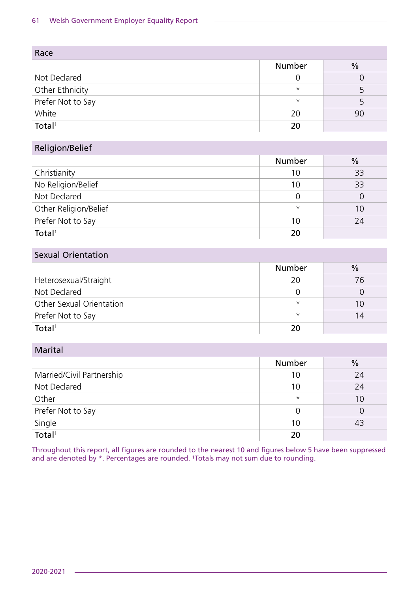| Race               |         |               |
|--------------------|---------|---------------|
|                    | Number  | $\frac{0}{0}$ |
| Not Declared       |         |               |
| Other Ethnicity    | $\star$ |               |
| Prefer Not to Say  | $\star$ |               |
| White              | 20      | 90            |
| Total <sup>1</sup> | 20      |               |

### Religion/Belief

|                       | Number  | $\frac{0}{0}$ |
|-----------------------|---------|---------------|
| Christianity          | 10      | 33            |
| No Religion/Belief    | 10      | 33            |
| Not Declared          |         |               |
| Other Religion/Belief | $\star$ | 10            |
| Prefer Not to Say     | 10      | 24            |
| Total <sup>1</sup>    | 20      |               |

#### Sexual Orientation

|                          | <b>Number</b> | $\frac{0}{0}$ |
|--------------------------|---------------|---------------|
| Heterosexual/Straight    | 20            | 76            |
| Not Declared             |               |               |
| Other Sexual Orientation | $\star$       | 10            |
| Prefer Not to Say        | $\star$       | 14            |
| Total <sup>1</sup>       |               |               |

#### Marital

|                              | <b>Number</b> | $\frac{0}{0}$ |
|------------------------------|---------------|---------------|
| Married/Civil Partnership    | 10            | 24            |
| Not Declared                 | 10            | 24            |
| Other                        | $\star$       | 10            |
| Prefer Not to Say            |               |               |
|                              | 10            | 43            |
| Single<br>Total <sup>1</sup> | 20            |               |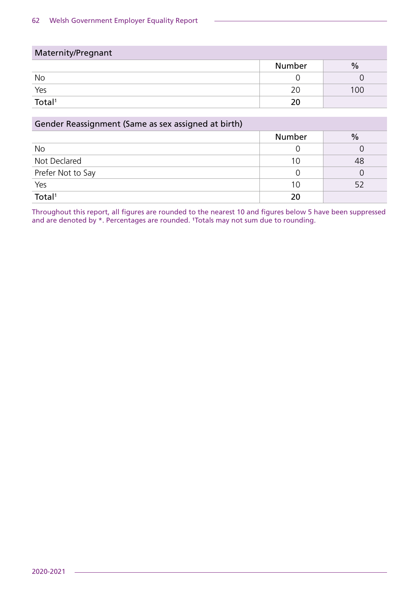| Maternity/Pregnant |               |               |
|--------------------|---------------|---------------|
|                    | <b>Number</b> | $\frac{0}{0}$ |
| No                 |               |               |
| Yes                | 20            | 100           |
| Total <sup>1</sup> | 20            |               |

| Gender Reassignment (Same as sex assigned at birth) |               |      |
|-----------------------------------------------------|---------------|------|
|                                                     | <b>Number</b> | $\%$ |
| <b>No</b>                                           |               |      |
| Not Declared                                        | 10            | 48   |
| Prefer Not to Say                                   |               |      |
| Yes                                                 | 10            | 52   |
| $\overline{\text{Total}^1}$                         |               |      |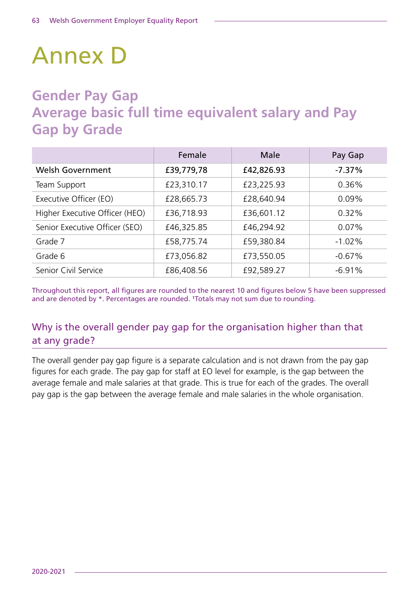# Annex D

# **Gender Pay Gap Average basic full time equivalent salary and Pay Gap by Grade**

|                                | Female     | Male       | Pay Gap  |
|--------------------------------|------------|------------|----------|
| <b>Welsh Government</b>        | £39,779,78 | £42,826.93 | $-7.37%$ |
| Team Support                   | £23,310.17 | £23,225.93 | 0.36%    |
| Executive Officer (EO)         | £28,665.73 | £28,640.94 | $0.09\%$ |
| Higher Executive Officer (HEO) | £36,718.93 | £36,601.12 | 0.32%    |
| Senior Executive Officer (SEO) | £46,325.85 | £46,294.92 | $0.07\%$ |
| Grade 7                        | £58,775.74 | £59,380.84 | $-1.02%$ |
| Grade 6                        | £73,056.82 | £73,550.05 | $-0.67%$ |
| Senior Civil Service           | £86,408.56 | £92,589.27 | $-6.91%$ |

Throughout this report, all figures are rounded to the nearest 10 and figures below 5 have been suppressed and are denoted by \*. Percentages are rounded. <sup>1</sup>Totals may not sum due to rounding.

# Why is the overall gender pay gap for the organisation higher than that at any grade?

The overall gender pay gap figure is a separate calculation and is not drawn from the pay gap figures for each grade. The pay gap for staff at EO level for example, is the gap between the average female and male salaries at that grade. This is true for each of the grades. The overall pay gap is the gap between the average female and male salaries in the whole organisation.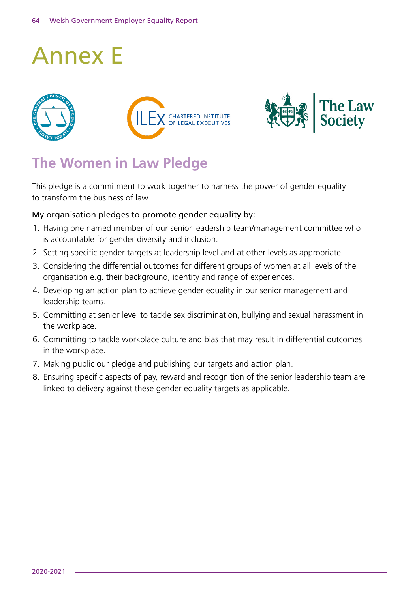# Annex E







# **The Women in Law Pledge**

This pledge is a commitment to work together to harness the power of gender equality to transform the business of law.

#### My organisation pledges to promote gender equality by:

- 1. Having one named member of our senior leadership team/management committee who is accountable for gender diversity and inclusion.
- 2. Setting specific gender targets at leadership level and at other levels as appropriate.
- 3. Considering the differential outcomes for different groups of women at all levels of the organisation e.g. their background, identity and range of experiences.
- 4. Developing an action plan to achieve gender equality in our senior management and leadership teams.
- 5. Committing at senior level to tackle sex discrimination, bullying and sexual harassment in the workplace.
- 6. Committing to tackle workplace culture and bias that may result in differential outcomes in the workplace.
- 7. Making public our pledge and publishing our targets and action plan.
- 8. Ensuring specific aspects of pay, reward and recognition of the senior leadership team are linked to delivery against these gender equality targets as applicable.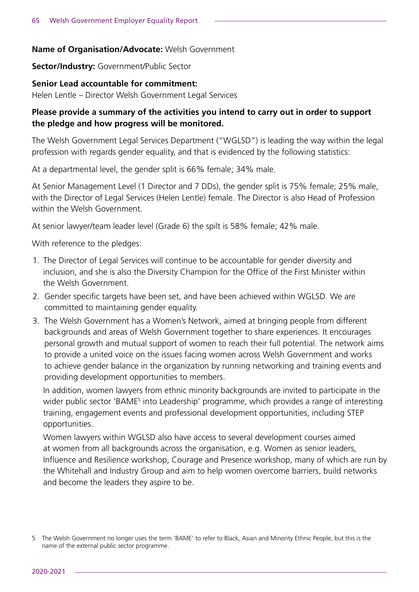#### **Name of Organisation/Advocate:** Welsh Government

**Sector/Industry:** Government/Public Sector

#### **Senior Lead accountable for commitment:**

Helen Lentle – Director Welsh Government Legal Services

#### **Please provide a summary of the activities you intend to carry out in order to support the pledge and how progress will be monitored.**

The Welsh Government Legal Services Department ("WGLSD") is leading the way within the legal profession with regards gender equality, and that is evidenced by the following statistics:

At a departmental level, the gender split is 66% female; 34% male.

At Senior Management Level (1 Director and 7 DDs), the gender split is 75% female; 25% male, with the Director of Legal Services (Helen Lentle) female. The Director is also Head of Profession within the Welsh Government.

At senior lawyer/team leader level (Grade 6) the spilt is 58% female; 42% male.

With reference to the pledges:

- 1. The Director of Legal Services will continue to be accountable for gender diversity and inclusion, and she is also the Diversity Champion for the Office of the First Minister within the Welsh Government.
- 2. Gender specific targets have been set, and have been achieved within WGLSD. We are committed to maintaining gender equality.
- 3. The Welsh Government has a Women's Network, aimed at bringing people from different backgrounds and areas of Welsh Government together to share experiences. It encourages personal growth and mutual support of women to reach their full potential. The network aims to provide a united voice on the issues facing women across Welsh Government and works to achieve gender balance in the organization by running networking and training events and providing development opportunities to members.

In addition, women lawyers from ethnic minority backgrounds are invited to participate in the wider public sector 'BAME<sup>5</sup> into Leadership' programme, which provides a range of interesting training, engagement events and professional development opportunities, including STEP opportunities.

Women lawyers within WGLSD also have access to several development courses aimed at women from all backgrounds across the organisation, e.g. Women as senior leaders, Influence and Resilience workshop, Courage and Presence workshop, many of which are run by the Whitehall and Industry Group and aim to help women overcome barriers, build networks and become the leaders they aspire to be.

<sup>5</sup> The Welsh Government no longer uses the term 'BAME' to refer to Black, Asian and Minority Ethnic People, but this is the name of the external public sector programme.